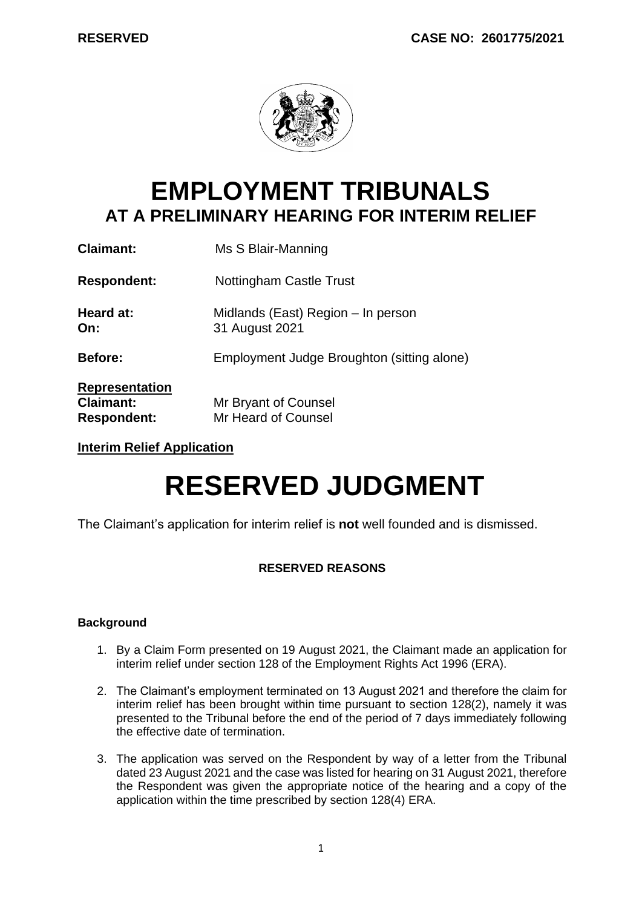

# **EMPLOYMENT TRIBUNALS AT A PRELIMINARY HEARING FOR INTERIM RELIEF**

| <b>Claimant:</b>                                                | Ms S Blair-Manning                                   |
|-----------------------------------------------------------------|------------------------------------------------------|
| <b>Respondent:</b>                                              | Nottingham Castle Trust                              |
| Heard at:<br>On:                                                | Midlands (East) Region – In person<br>31 August 2021 |
| <b>Before:</b>                                                  | Employment Judge Broughton (sitting alone)           |
| <b>Representation</b><br><b>Claimant:</b><br><b>Respondent:</b> | Mr Bryant of Counsel<br>Mr Heard of Counsel          |

**Interim Relief Application**

# **RESERVED JUDGMENT**

The Claimant's application for interim relief is **not** well founded and is dismissed.

# **RESERVED REASONS**

# **Background**

- 1. By a Claim Form presented on 19 August 2021, the Claimant made an application for interim relief under section 128 of the Employment Rights Act 1996 (ERA).
- 2. The Claimant's employment terminated on 13 August 2021 and therefore the claim for interim relief has been brought within time pursuant to section 128(2), namely it was presented to the Tribunal before the end of the period of 7 days immediately following the effective date of termination.
- 3. The application was served on the Respondent by way of a letter from the Tribunal dated 23 August 2021 and the case was listed for hearing on 31 August 2021, therefore the Respondent was given the appropriate notice of the hearing and a copy of the application within the time prescribed by section 128(4) ERA.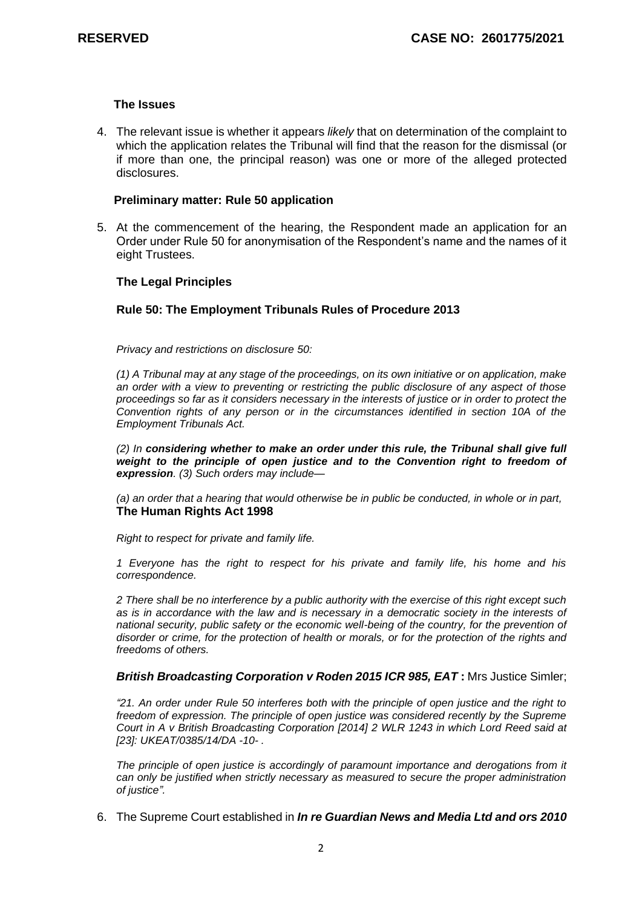#### **The Issues**

4. The relevant issue is whether it appears *likely* that on determination of the complaint to which the application relates the Tribunal will find that the reason for the dismissal (or if more than one, the principal reason) was one or more of the alleged protected disclosures.

#### **Preliminary matter: Rule 50 application**

5. At the commencement of the hearing, the Respondent made an application for an Order under Rule 50 for anonymisation of the Respondent's name and the names of it eight Trustees.

#### **The Legal Principles**

#### **Rule 50: The Employment Tribunals Rules of Procedure 2013**

*Privacy and restrictions on disclosure 50:*

*(1) A Tribunal may at any stage of the proceedings, on its own initiative or on application, make an order with a view to preventing or restricting the public disclosure of any aspect of those proceedings so far as it considers necessary in the interests of justice or in order to protect the Convention rights of any person or in the circumstances identified in section 10A of the Employment Tribunals Act.* 

*(2) In considering whether to make an order under this rule, the Tribunal shall give full weight* to the principle of open justice and to the Convention right to freedom of *expression. (3) Such orders may include—*

*(a) an order that a hearing that would otherwise be in public be conducted, in whole or in part,*  **The Human Rights Act 1998**

*Right to respect for private and family life.*

*1 Everyone has the right to respect for his private and family life, his home and his correspondence.*

*2 There shall be no interference by a public authority with the exercise of this right except such as is in accordance with the law and is necessary in a democratic society in the interests of national security, public safety or the economic well-being of the country, for the prevention of disorder or crime, for the protection of health or morals, or for the protection of the rights and freedoms of others.*

#### *[British Broadcasting Corporation v Roden 2015 ICR 985, EAT](http://uk.westlaw.com/Link/Document/FullText?findType=Y&serNum=2036254745&pubNum=8105&originatingDoc=IFDFDBF7055E011E79153C39CF1D5DBAB&refType=UC&originationContext=document&vr=3.0&rs=PLUK1.0&transitionType=CommentaryUKLink&contextData=(sc.Category))* **:** Mrs Justice Simler;

*"21. An order under Rule 50 interferes both with the principle of open justice and the right to freedom of expression. The principle of open justice was considered recently by the Supreme Court in A v British Broadcasting Corporation [2014] 2 WLR 1243 in which Lord Reed said at [23]: UKEAT/0385/14/DA -10- .*

*The principle of open justice is accordingly of paramount importance and derogations from it can only be justified when strictly necessary as measured to secure the proper administration of justice".*

6. The Supreme Court established in *In re Guardian News and Media Ltd and ors 2010*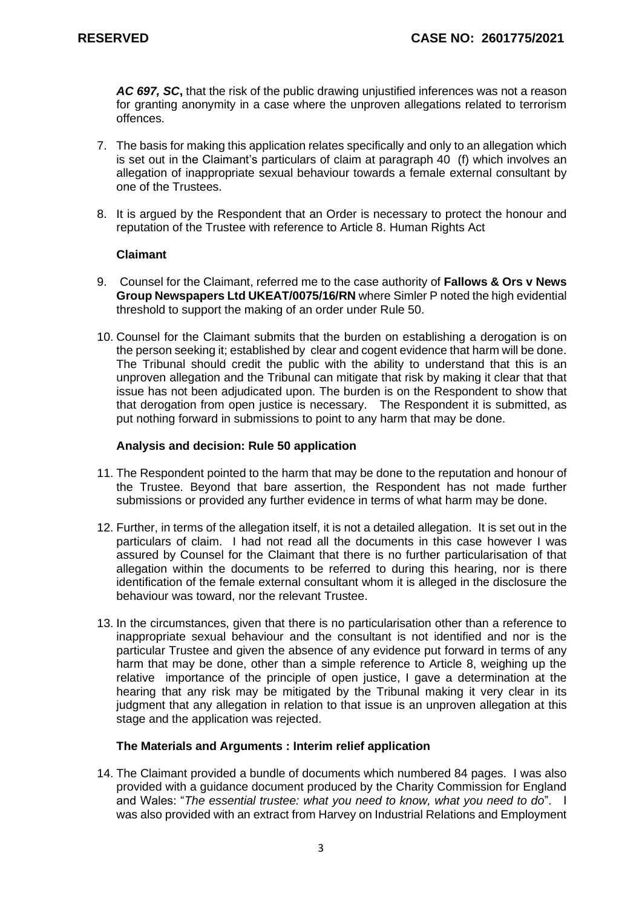*AC 697, SC***,** that the risk of the public drawing unjustified inferences was not a reason for granting anonymity in a case where the unproven allegations related to terrorism offences.

- 7. The basis for making this application relates specifically and only to an allegation which is set out in the Claimant's particulars of claim at paragraph 40 (f) which involves an allegation of inappropriate sexual behaviour towards a female external consultant by one of the Trustees.
- 8. It is argued by the Respondent that an Order is necessary to protect the honour and reputation of the Trustee with reference to Article 8. Human Rights Act

# **Claimant**

- 9. Counsel for the Claimant, referred me to the case authority of **Fallows & Ors v News Group Newspapers Ltd UKEAT/0075/16/RN** where Simler P noted the high evidential threshold to support the making of an order under Rule 50.
- 10. Counsel for the Claimant submits that the burden on establishing a derogation is on the person seeking it; established by clear and cogent evidence that harm will be done. The Tribunal should credit the public with the ability to understand that this is an unproven allegation and the Tribunal can mitigate that risk by making it clear that that issue has not been adjudicated upon. The burden is on the Respondent to show that that derogation from open justice is necessary. The Respondent it is submitted, as put nothing forward in submissions to point to any harm that may be done.

#### **Analysis and decision: Rule 50 application**

- 11. The Respondent pointed to the harm that may be done to the reputation and honour of the Trustee. Beyond that bare assertion, the Respondent has not made further submissions or provided any further evidence in terms of what harm may be done.
- 12. Further, in terms of the allegation itself, it is not a detailed allegation. It is set out in the particulars of claim. I had not read all the documents in this case however I was assured by Counsel for the Claimant that there is no further particularisation of that allegation within the documents to be referred to during this hearing, nor is there identification of the female external consultant whom it is alleged in the disclosure the behaviour was toward, nor the relevant Trustee.
- 13. In the circumstances, given that there is no particularisation other than a reference to inappropriate sexual behaviour and the consultant is not identified and nor is the particular Trustee and given the absence of any evidence put forward in terms of any harm that may be done, other than a simple reference to Article 8, weighing up the relative importance of the principle of open justice, I gave a determination at the hearing that any risk may be mitigated by the Tribunal making it very clear in its judgment that any allegation in relation to that issue is an unproven allegation at this stage and the application was rejected.

# **The Materials and Arguments : Interim relief application**

14. The Claimant provided a bundle of documents which numbered 84 pages. I was also provided with a guidance document produced by the Charity Commission for England and Wales: "*The essential trustee: what you need to know, what you need to do*". I was also provided with an extract from Harvey on Industrial Relations and Employment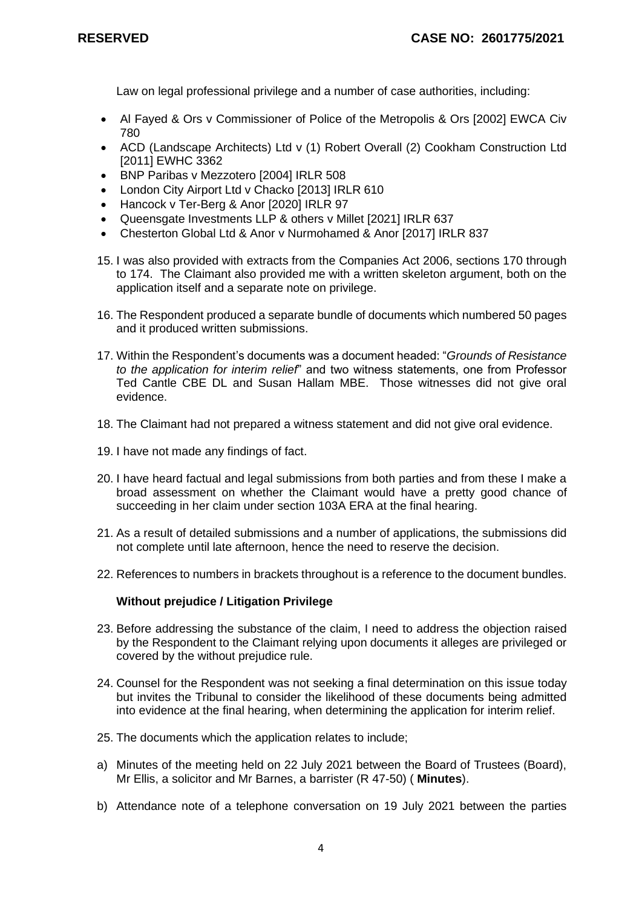Law on legal professional privilege and a number of case authorities, including:

- Al Fayed & Ors v Commissioner of Police of the Metropolis & Ors [2002] EWCA Civ 780
- ACD (Landscape Architects) Ltd v (1) Robert Overall (2) Cookham Construction Ltd [2011] EWHC 3362
- BNP Paribas v Mezzotero [2004] IRLR 508
- London City Airport Ltd v Chacko [2013] IRLR 610
- Hancock v Ter-Berg & Anor [2020] IRLR 97
- Queensgate Investments LLP & others v Millet [2021] IRLR 637
- Chesterton Global Ltd & Anor v Nurmohamed & Anor [2017] IRLR 837
- 15. I was also provided with extracts from the Companies Act 2006, sections 170 through to 174. The Claimant also provided me with a written skeleton argument, both on the application itself and a separate note on privilege.
- 16. The Respondent produced a separate bundle of documents which numbered 50 pages and it produced written submissions.
- 17. Within the Respondent's documents was a document headed: "*Grounds of Resistance to the application for interim relief*" and two witness statements, one from Professor Ted Cantle CBE DL and Susan Hallam MBE. Those witnesses did not give oral evidence.
- 18. The Claimant had not prepared a witness statement and did not give oral evidence.
- 19. I have not made any findings of fact.
- 20. I have heard factual and legal submissions from both parties and from these I make a broad assessment on whether the Claimant would have a pretty good chance of succeeding in her claim under section 103A ERA at the final hearing.
- 21. As a result of detailed submissions and a number of applications, the submissions did not complete until late afternoon, hence the need to reserve the decision.
- 22. References to numbers in brackets throughout is a reference to the document bundles.

#### **Without prejudice / Litigation Privilege**

- 23. Before addressing the substance of the claim, I need to address the objection raised by the Respondent to the Claimant relying upon documents it alleges are privileged or covered by the without prejudice rule.
- 24. Counsel for the Respondent was not seeking a final determination on this issue today but invites the Tribunal to consider the likelihood of these documents being admitted into evidence at the final hearing, when determining the application for interim relief.
- 25. The documents which the application relates to include;
- a) Minutes of the meeting held on 22 July 2021 between the Board of Trustees (Board), Mr Ellis, a solicitor and Mr Barnes, a barrister (R 47-50) ( **Minutes**).
- b) Attendance note of a telephone conversation on 19 July 2021 between the parties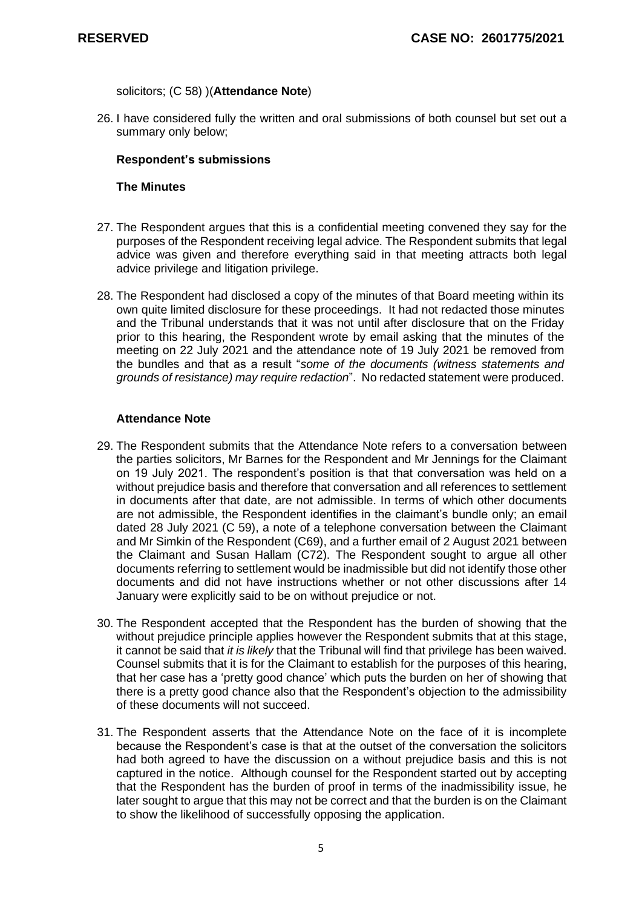solicitors; (C 58) )(**Attendance Note**)

26. I have considered fully the written and oral submissions of both counsel but set out a summary only below;

#### **Respondent's submissions**

#### **The Minutes**

- 27. The Respondent argues that this is a confidential meeting convened they say for the purposes of the Respondent receiving legal advice. The Respondent submits that legal advice was given and therefore everything said in that meeting attracts both legal advice privilege and litigation privilege.
- 28. The Respondent had disclosed a copy of the minutes of that Board meeting within its own quite limited disclosure for these proceedings. It had not redacted those minutes and the Tribunal understands that it was not until after disclosure that on the Friday prior to this hearing, the Respondent wrote by email asking that the minutes of the meeting on 22 July 2021 and the attendance note of 19 July 2021 be removed from the bundles and that as a result "*some of the documents (witness statements and grounds of resistance) may require redaction*". No redacted statement were produced.

#### **Attendance Note**

- 29. The Respondent submits that the Attendance Note refers to a conversation between the parties solicitors, Mr Barnes for the Respondent and Mr Jennings for the Claimant on 19 July 2021. The respondent's position is that that conversation was held on a without prejudice basis and therefore that conversation and all references to settlement in documents after that date, are not admissible. In terms of which other documents are not admissible, the Respondent identifies in the claimant's bundle only; an email dated 28 July 2021 (C 59), a note of a telephone conversation between the Claimant and Mr Simkin of the Respondent (C69), and a further email of 2 August 2021 between the Claimant and Susan Hallam (C72). The Respondent sought to argue all other documents referring to settlement would be inadmissible but did not identify those other documents and did not have instructions whether or not other discussions after 14 January were explicitly said to be on without prejudice or not.
- 30. The Respondent accepted that the Respondent has the burden of showing that the without prejudice principle applies however the Respondent submits that at this stage, it cannot be said that *it is likely* that the Tribunal will find that privilege has been waived. Counsel submits that it is for the Claimant to establish for the purposes of this hearing, that her case has a 'pretty good chance' which puts the burden on her of showing that there is a pretty good chance also that the Respondent's objection to the admissibility of these documents will not succeed.
- 31. The Respondent asserts that the Attendance Note on the face of it is incomplete because the Respondent's case is that at the outset of the conversation the solicitors had both agreed to have the discussion on a without prejudice basis and this is not captured in the notice. Although counsel for the Respondent started out by accepting that the Respondent has the burden of proof in terms of the inadmissibility issue, he later sought to argue that this may not be correct and that the burden is on the Claimant to show the likelihood of successfully opposing the application.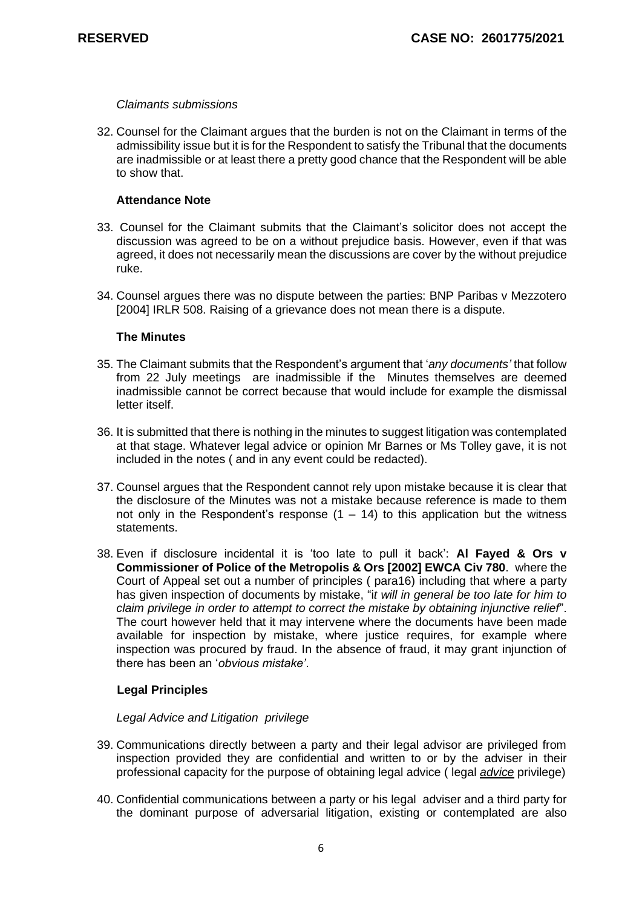#### *Claimants submissions*

32. Counsel for the Claimant argues that the burden is not on the Claimant in terms of the admissibility issue but it is for the Respondent to satisfy the Tribunal that the documents are inadmissible or at least there a pretty good chance that the Respondent will be able to show that.

### **Attendance Note**

- 33. Counsel for the Claimant submits that the Claimant's solicitor does not accept the discussion was agreed to be on a without prejudice basis. However, even if that was agreed, it does not necessarily mean the discussions are cover by the without prejudice ruke.
- 34. Counsel argues there was no dispute between the parties: BNP Paribas v Mezzotero [2004] IRLR 508. Raising of a grievance does not mean there is a dispute.

### **The Minutes**

- 35. The Claimant submits that the Respondent's argument that '*any documents'* that follow from 22 July meetings are inadmissible if the Minutes themselves are deemed inadmissible cannot be correct because that would include for example the dismissal letter itself.
- 36. It is submitted that there is nothing in the minutes to suggest litigation was contemplated at that stage. Whatever legal advice or opinion Mr Barnes or Ms Tolley gave, it is not included in the notes ( and in any event could be redacted).
- 37. Counsel argues that the Respondent cannot rely upon mistake because it is clear that the disclosure of the Minutes was not a mistake because reference is made to them not only in the Respondent's response  $(1 - 14)$  to this application but the witness statements.
- 38. Even if disclosure incidental it is 'too late to pull it back': **Al Fayed & Ors v Commissioner of Police of the Metropolis & Ors [2002] EWCA Civ 780**. where the Court of Appeal set out a number of principles ( para16) including that where a party has given inspection of documents by mistake, "i*t will in general be too late for him to claim privilege in order to attempt to correct the mistake by obtaining injunctive relief*". The court however held that it may intervene where the documents have been made available for inspection by mistake, where justice requires, for example where inspection was procured by fraud. In the absence of fraud, it may grant injunction of there has been an '*obvious mistake'*.

# **Legal Principles**

#### *Legal Advice and Litigation privilege*

- 39. Communications directly between a party and their legal advisor are privileged from inspection provided they are confidential and written to or by the adviser in their professional capacity for the purpose of obtaining legal advice ( legal *advice* privilege)
- 40. Confidential communications between a party or his legal adviser and a third party for the dominant purpose of adversarial litigation, existing or contemplated are also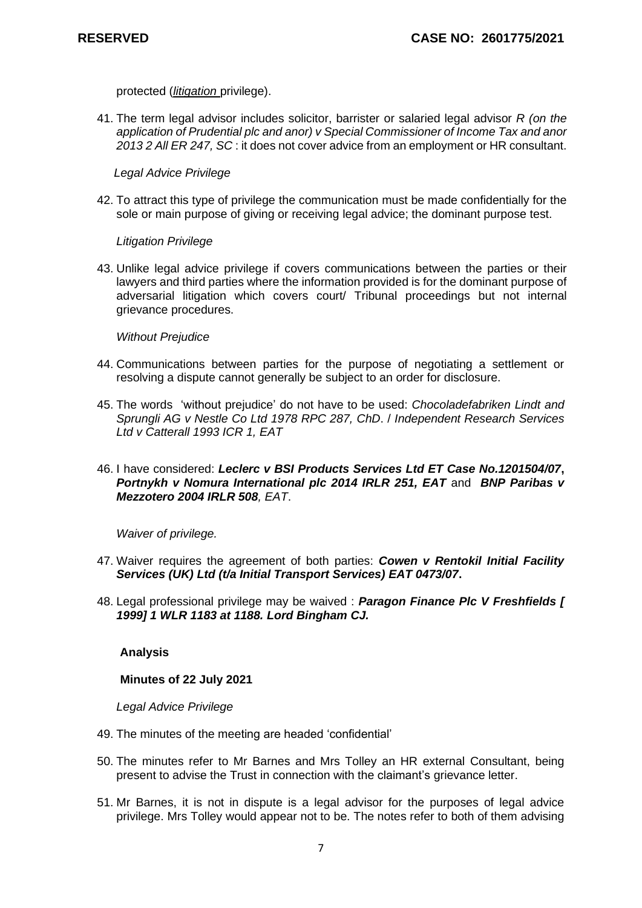protected (*litigation* privilege).

41. The term legal advisor includes solicitor, barrister or salaried legal advisor *[R \(on the](http://uk.westlaw.com/Link/Document/FullText?findType=Y&serNum=2029630584&pubNum=7640&originatingDoc=IBEED8850ED9811E8BCF1D365E12E9115&refType=UC&originationContext=document&vr=3.0&rs=PLUK1.0&transitionType=CommentaryUKLink&contextData=(sc.Search))  [application of Prudential plc and anor\) v Special Commissioner of Income Tax and anor](http://uk.westlaw.com/Link/Document/FullText?findType=Y&serNum=2029630584&pubNum=7640&originatingDoc=IBEED8850ED9811E8BCF1D365E12E9115&refType=UC&originationContext=document&vr=3.0&rs=PLUK1.0&transitionType=CommentaryUKLink&contextData=(sc.Search))  [2013 2 All ER 247, SC](http://uk.westlaw.com/Link/Document/FullText?findType=Y&serNum=2029630584&pubNum=7640&originatingDoc=IBEED8850ED9811E8BCF1D365E12E9115&refType=UC&originationContext=document&vr=3.0&rs=PLUK1.0&transitionType=CommentaryUKLink&contextData=(sc.Search))* : it does not cover advice from an employment or HR consultant.

 *Legal Advice Privilege*

42. To attract this type of privilege the communication must be made confidentially for the sole or main purpose of giving or receiving legal advice; the dominant purpose test.

### *Litigation Privilege*

43. Unlike legal advice privilege if covers communications between the parties or their lawyers and third parties where the information provided is for the dominant purpose of adversarial litigation which covers court/ Tribunal proceedings but not internal grievance procedures.

### *Without Prejudice*

- 44. Communications between parties for the purpose of negotiating a settlement or resolving a dispute cannot generally be subject to an order for disclosure.
- 45. The words 'without prejudice' do not have to be used: *[Chocoladefabriken Lindt and](http://uk.westlaw.com/Link/Document/FullText?findType=Y&serNum=1978024815&pubNum=8105&originatingDoc=IE7F8FFA055E011E79153C39CF1D5DBAB&refType=UC&originationContext=document&vr=3.0&rs=PLUK1.0&transitionType=CommentaryUKLink&contextData=(sc.Search))  [Sprungli AG v Nestle Co Ltd 1978 RPC 287, ChD](http://uk.westlaw.com/Link/Document/FullText?findType=Y&serNum=1978024815&pubNum=8105&originatingDoc=IE7F8FFA055E011E79153C39CF1D5DBAB&refType=UC&originationContext=document&vr=3.0&rs=PLUK1.0&transitionType=CommentaryUKLink&contextData=(sc.Search))*. / *[Independent Research Services](http://uk.westlaw.com/Link/Document/FullText?findType=Y&serNum=1993251639&pubNum=8105&originatingDoc=IE7F8FFA055E011E79153C39CF1D5DBAB&refType=UC&originationContext=document&vr=3.0&rs=PLUK1.0&transitionType=CommentaryUKLink&contextData=(sc.Search))  [Ltd v Catterall 1993 ICR 1, EAT](http://uk.westlaw.com/Link/Document/FullText?findType=Y&serNum=1993251639&pubNum=8105&originatingDoc=IE7F8FFA055E011E79153C39CF1D5DBAB&refType=UC&originationContext=document&vr=3.0&rs=PLUK1.0&transitionType=CommentaryUKLink&contextData=(sc.Search))*
- 46. I have considered: *Leclerc v BSI Products Services Ltd ET Case No.1201504/07***,** *[Portnykh v Nomura International plc 2014 IRLR 251, EAT](http://uk.westlaw.com/Link/Document/FullText?findType=Y&serNum=2032535400&pubNum=8105&originatingDoc=IB8610CA0ED9811E8BCF1D365E12E9115&refType=UC&originationContext=document&vr=3.0&rs=PLUK1.0&transitionType=CommentaryUKLink&contextData=(sc.DocLink))* and *[BNP Paribas v](http://uk.westlaw.com/Link/Document/FullText?findType=Y&serNum=2004303809&pubNum=8105&originatingDoc=IB8610CA0ED9811E8BCF1D365E12E9115&refType=UC&originationContext=document&vr=3.0&rs=PLUK1.0&transitionType=CommentaryUKLink&contextData=(sc.DocLink))  [Mezzotero 2004 IRLR 508](http://uk.westlaw.com/Link/Document/FullText?findType=Y&serNum=2004303809&pubNum=8105&originatingDoc=IB8610CA0ED9811E8BCF1D365E12E9115&refType=UC&originationContext=document&vr=3.0&rs=PLUK1.0&transitionType=CommentaryUKLink&contextData=(sc.DocLink)), EAT*.

*Waiver of privilege.*

- 47. Waiver requires the agreement of both parties: *[Cowen v Rentokil Initial Facility](http://uk.westlaw.com/Link/Document/FullText?findType=Y&serNum=2015403833&pubNum=8105&originatingDoc=IB8610CA0ED9811E8BCF1D365E12E9115&refType=UC&originationContext=document&vr=3.0&rs=PLUK1.0&transitionType=CommentaryUKLink&contextData=(sc.Category))  [Services \(UK\) Ltd \(t/a Initial Transport Services\) EAT 0473/07](http://uk.westlaw.com/Link/Document/FullText?findType=Y&serNum=2015403833&pubNum=8105&originatingDoc=IB8610CA0ED9811E8BCF1D365E12E9115&refType=UC&originationContext=document&vr=3.0&rs=PLUK1.0&transitionType=CommentaryUKLink&contextData=(sc.Category))***.**
- 48. Legal professional privilege may be waived : *Paragon Finance Plc V Freshfields [ 1999] 1 WLR 1183 at 1188. Lord Bingham CJ.*

#### **Analysis**

#### **Minutes of 22 July 2021**

*Legal Advice Privilege*

- 49. The minutes of the meeting are headed 'confidential'
- 50. The minutes refer to Mr Barnes and Mrs Tolley an HR external Consultant, being present to advise the Trust in connection with the claimant's grievance letter.
- 51. Mr Barnes, it is not in dispute is a legal advisor for the purposes of legal advice privilege. Mrs Tolley would appear not to be. The notes refer to both of them advising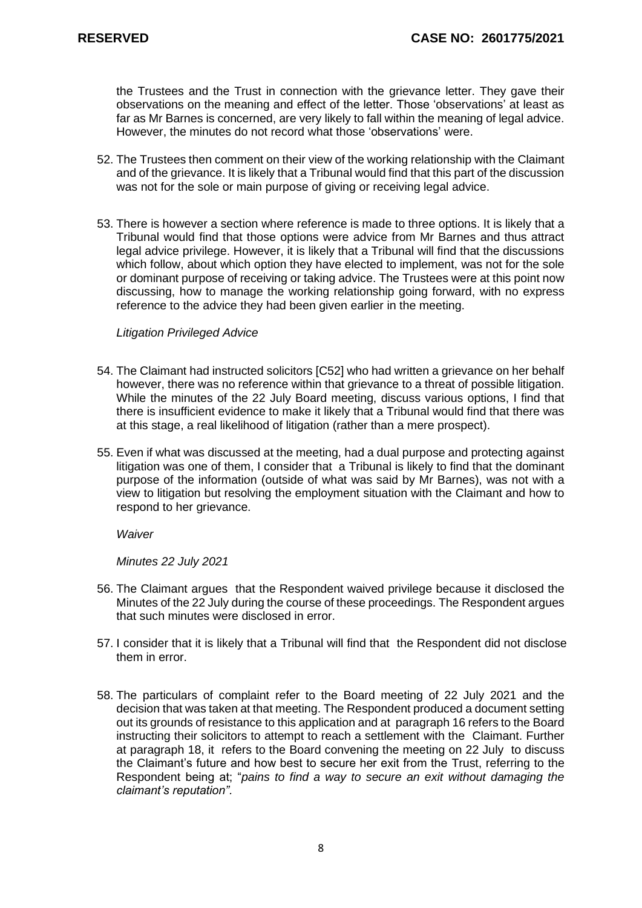the Trustees and the Trust in connection with the grievance letter. They gave their observations on the meaning and effect of the letter. Those 'observations' at least as far as Mr Barnes is concerned, are very likely to fall within the meaning of legal advice. However, the minutes do not record what those 'observations' were.

- 52. The Trustees then comment on their view of the working relationship with the Claimant and of the grievance. It is likely that a Tribunal would find that this part of the discussion was not for the sole or main purpose of giving or receiving legal advice.
- 53. There is however a section where reference is made to three options. It is likely that a Tribunal would find that those options were advice from Mr Barnes and thus attract legal advice privilege. However, it is likely that a Tribunal will find that the discussions which follow, about which option they have elected to implement, was not for the sole or dominant purpose of receiving or taking advice. The Trustees were at this point now discussing, how to manage the working relationship going forward, with no express reference to the advice they had been given earlier in the meeting.

#### *Litigation Privileged Advice*

- 54. The Claimant had instructed solicitors [C52] who had written a grievance on her behalf however, there was no reference within that grievance to a threat of possible litigation. While the minutes of the 22 July Board meeting, discuss various options, I find that there is insufficient evidence to make it likely that a Tribunal would find that there was at this stage, a real likelihood of litigation (rather than a mere prospect).
- 55. Even if what was discussed at the meeting, had a dual purpose and protecting against litigation was one of them, I consider that a Tribunal is likely to find that the dominant purpose of the information (outside of what was said by Mr Barnes), was not with a view to litigation but resolving the employment situation with the Claimant and how to respond to her grievance.

*Waiver*

*Minutes 22 July 2021*

- 56. The Claimant argues that the Respondent waived privilege because it disclosed the Minutes of the 22 July during the course of these proceedings. The Respondent argues that such minutes were disclosed in error.
- 57. I consider that it is likely that a Tribunal will find that the Respondent did not disclose them in error.
- 58. The particulars of complaint refer to the Board meeting of 22 July 2021 and the decision that was taken at that meeting. The Respondent produced a document setting out its grounds of resistance to this application and at paragraph 16 refers to the Board instructing their solicitors to attempt to reach a settlement with the Claimant. Further at paragraph 18, it refers to the Board convening the meeting on 22 July to discuss the Claimant's future and how best to secure her exit from the Trust, referring to the Respondent being at; "*pains to find a way to secure an exit without damaging the claimant's reputation".*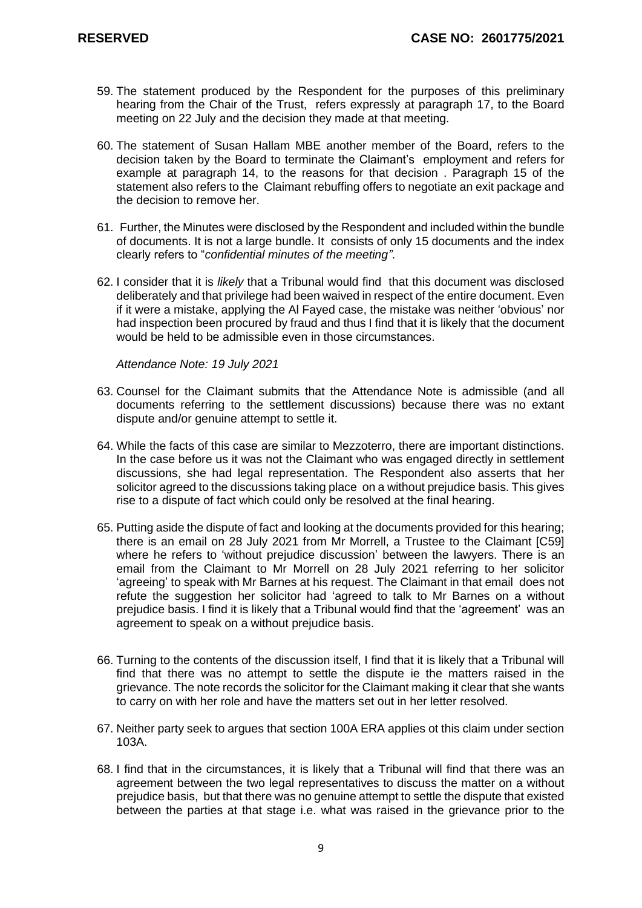- 59. The statement produced by the Respondent for the purposes of this preliminary hearing from the Chair of the Trust, refers expressly at paragraph 17, to the Board meeting on 22 July and the decision they made at that meeting.
- 60. The statement of Susan Hallam MBE another member of the Board, refers to the decision taken by the Board to terminate the Claimant's employment and refers for example at paragraph 14, to the reasons for that decision . Paragraph 15 of the statement also refers to the Claimant rebuffing offers to negotiate an exit package and the decision to remove her.
- 61. Further, the Minutes were disclosed by the Respondent and included within the bundle of documents. It is not a large bundle. It consists of only 15 documents and the index clearly refers to "*confidential minutes of the meeting"*.
- 62. I consider that it is *likely* that a Tribunal would find that this document was disclosed deliberately and that privilege had been waived in respect of the entire document. Even if it were a mistake, applying the Al Fayed case, the mistake was neither 'obvious' nor had inspection been procured by fraud and thus I find that it is likely that the document would be held to be admissible even in those circumstances.

*Attendance Note: 19 July 2021*

- 63. Counsel for the Claimant submits that the Attendance Note is admissible (and all documents referring to the settlement discussions) because there was no extant dispute and/or genuine attempt to settle it.
- 64. While the facts of this case are similar to Mezzoterro, there are important distinctions. In the case before us it was not the Claimant who was engaged directly in settlement discussions, she had legal representation. The Respondent also asserts that her solicitor agreed to the discussions taking place on a without prejudice basis. This gives rise to a dispute of fact which could only be resolved at the final hearing.
- 65. Putting aside the dispute of fact and looking at the documents provided for this hearing; there is an email on 28 July 2021 from Mr Morrell, a Trustee to the Claimant [C59] where he refers to 'without prejudice discussion' between the lawyers. There is an email from the Claimant to Mr Morrell on 28 July 2021 referring to her solicitor 'agreeing' to speak with Mr Barnes at his request. The Claimant in that email does not refute the suggestion her solicitor had 'agreed to talk to Mr Barnes on a without prejudice basis. I find it is likely that a Tribunal would find that the 'agreement' was an agreement to speak on a without prejudice basis.
- 66. Turning to the contents of the discussion itself, I find that it is likely that a Tribunal will find that there was no attempt to settle the dispute ie the matters raised in the grievance. The note records the solicitor for the Claimant making it clear that she wants to carry on with her role and have the matters set out in her letter resolved.
- 67. Neither party seek to argues that section 100A ERA applies ot this claim under section 103A.
- 68. I find that in the circumstances, it is likely that a Tribunal will find that there was an agreement between the two legal representatives to discuss the matter on a without prejudice basis, but that there was no genuine attempt to settle the dispute that existed between the parties at that stage i.e. what was raised in the grievance prior to the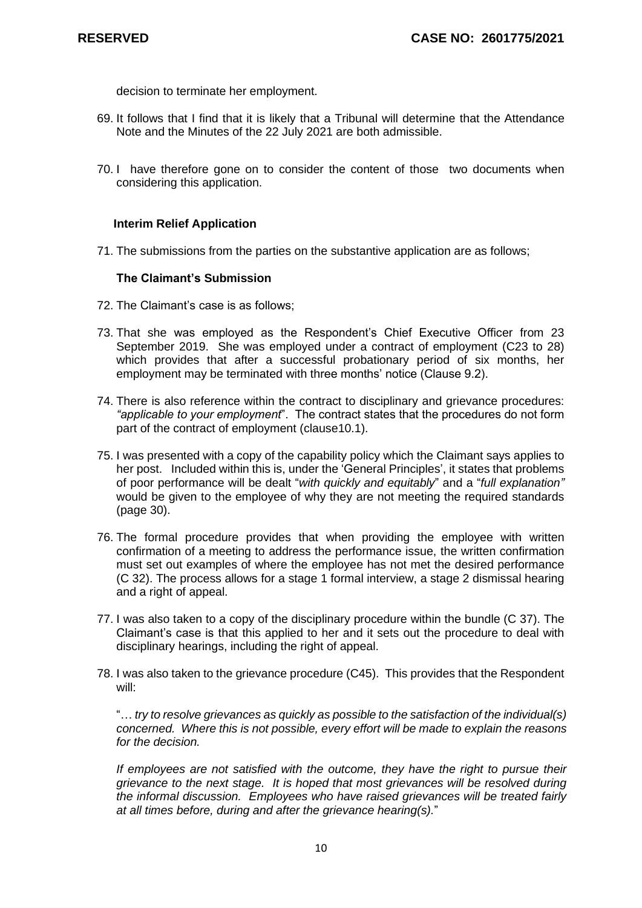decision to terminate her employment.

- 69. It follows that I find that it is likely that a Tribunal will determine that the Attendance Note and the Minutes of the 22 July 2021 are both admissible.
- 70. I have therefore gone on to consider the content of those two documents when considering this application.

#### **Interim Relief Application**

71. The submissions from the parties on the substantive application are as follows;

#### **The Claimant's Submission**

- 72. The Claimant's case is as follows;
- 73. That she was employed as the Respondent's Chief Executive Officer from 23 September 2019. She was employed under a contract of employment (C23 to 28) which provides that after a successful probationary period of six months, her employment may be terminated with three months' notice (Clause 9.2).
- 74. There is also reference within the contract to disciplinary and grievance procedures: *"applicable to your employment*". The contract states that the procedures do not form part of the contract of employment (clause10.1).
- 75. I was presented with a copy of the capability policy which the Claimant says applies to her post. Included within this is, under the 'General Principles', it states that problems of poor performance will be dealt "*with quickly and equitably*" and a "*full explanation"* would be given to the employee of why they are not meeting the required standards (page 30).
- 76. The formal procedure provides that when providing the employee with written confirmation of a meeting to address the performance issue, the written confirmation must set out examples of where the employee has not met the desired performance (C 32). The process allows for a stage 1 formal interview, a stage 2 dismissal hearing and a right of appeal.
- 77. I was also taken to a copy of the disciplinary procedure within the bundle (C 37). The Claimant's case is that this applied to her and it sets out the procedure to deal with disciplinary hearings, including the right of appeal.
- 78. I was also taken to the grievance procedure (C45). This provides that the Respondent will:

"… *try to resolve grievances as quickly as possible to the satisfaction of the individual(s) concerned. Where this is not possible, every effort will be made to explain the reasons for the decision.*

*If employees are not satisfied with the outcome, they have the right to pursue their grievance to the next stage. It is hoped that most grievances will be resolved during the informal discussion. Employees who have raised grievances will be treated fairly at all times before, during and after the grievance hearing(s).*"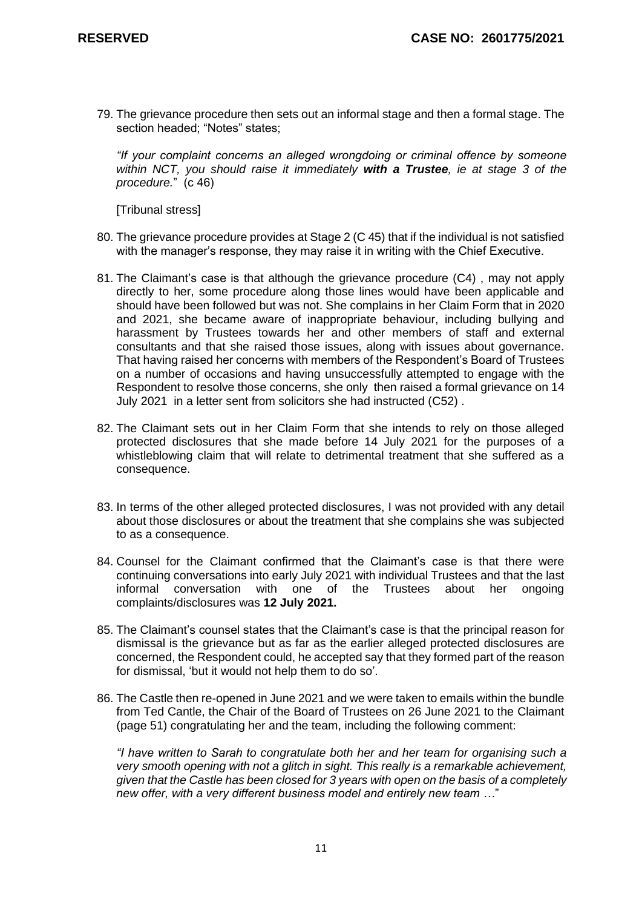79. The grievance procedure then sets out an informal stage and then a formal stage. The section headed; "Notes" states;

*"If your complaint concerns an alleged wrongdoing or criminal offence by someone within NCT, you should raise it immediately with a Trustee, ie at stage 3 of the procedure.*" (c 46)

[Tribunal stress]

- 80. The grievance procedure provides at Stage 2 (C 45) that if the individual is not satisfied with the manager's response, they may raise it in writing with the Chief Executive.
- 81. The Claimant's case is that although the grievance procedure (C4) , may not apply directly to her, some procedure along those lines would have been applicable and should have been followed but was not. She complains in her Claim Form that in 2020 and 2021, she became aware of inappropriate behaviour, including bullying and harassment by Trustees towards her and other members of staff and external consultants and that she raised those issues, along with issues about governance. That having raised her concerns with members of the Respondent's Board of Trustees on a number of occasions and having unsuccessfully attempted to engage with the Respondent to resolve those concerns, she only then raised a formal grievance on 14 July 2021 in a letter sent from solicitors she had instructed (C52) .
- 82. The Claimant sets out in her Claim Form that she intends to rely on those alleged protected disclosures that she made before 14 July 2021 for the purposes of a whistleblowing claim that will relate to detrimental treatment that she suffered as a consequence.
- 83. In terms of the other alleged protected disclosures, I was not provided with any detail about those disclosures or about the treatment that she complains she was subjected to as a consequence.
- 84. Counsel for the Claimant confirmed that the Claimant's case is that there were continuing conversations into early July 2021 with individual Trustees and that the last informal conversation with one of the Trustees about her ongoing complaints/disclosures was **12 July 2021.**
- 85. The Claimant's counsel states that the Claimant's case is that the principal reason for dismissal is the grievance but as far as the earlier alleged protected disclosures are concerned, the Respondent could, he accepted say that they formed part of the reason for dismissal, 'but it would not help them to do so'.
- 86. The Castle then re-opened in June 2021 and we were taken to emails within the bundle from Ted Cantle, the Chair of the Board of Trustees on 26 June 2021 to the Claimant (page 51) congratulating her and the team, including the following comment:

*"I have written to Sarah to congratulate both her and her team for organising such a very smooth opening with not a glitch in sight. This really is a remarkable achievement, given that the Castle has been closed for 3 years with open on the basis of a completely new offer, with a very different business model and entirely new team …*"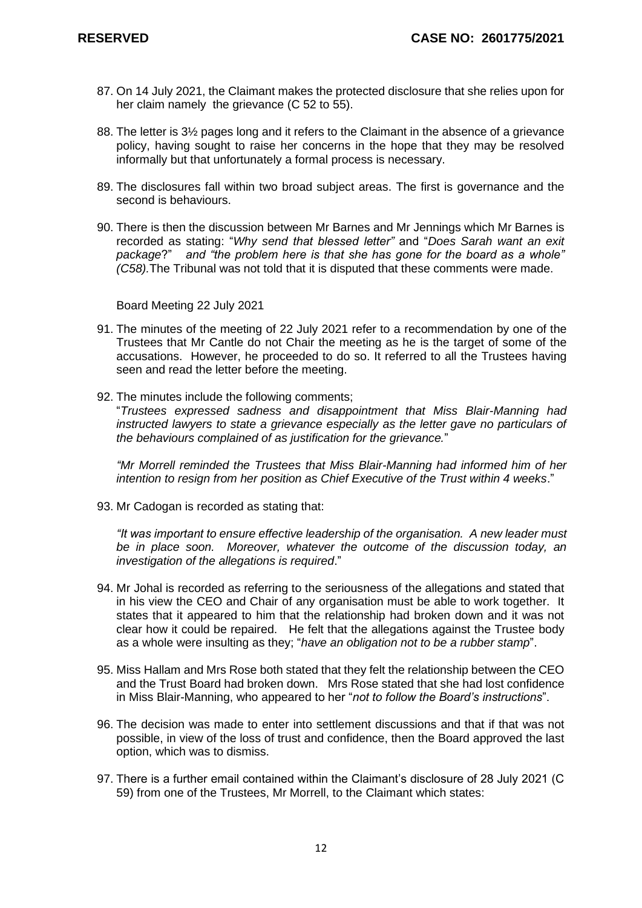- 87. On 14 July 2021, the Claimant makes the protected disclosure that she relies upon for her claim namely the grievance (C 52 to 55).
- 88. The letter is 3½ pages long and it refers to the Claimant in the absence of a grievance policy, having sought to raise her concerns in the hope that they may be resolved informally but that unfortunately a formal process is necessary.
- 89. The disclosures fall within two broad subject areas. The first is governance and the second is behaviours.
- 90. There is then the discussion between Mr Barnes and Mr Jennings which Mr Barnes is recorded as stating: "*Why send that blessed letter"* and "*Does Sarah want an exit package*?" *and "the problem here is that she has gone for the board as a whole" (C58).*The Tribunal was not told that it is disputed that these comments were made.

Board Meeting 22 July 2021

- 91. The minutes of the meeting of 22 July 2021 refer to a recommendation by one of the Trustees that Mr Cantle do not Chair the meeting as he is the target of some of the accusations. However, he proceeded to do so. It referred to all the Trustees having seen and read the letter before the meeting.
- 92. The minutes include the following comments;

"*Trustees expressed sadness and disappointment that Miss Blair-Manning had instructed lawyers to state a grievance especially as the letter gave no particulars of the behaviours complained of as justification for the grievance.*"

*"Mr Morrell reminded the Trustees that Miss Blair-Manning had informed him of her intention to resign from her position as Chief Executive of the Trust within 4 weeks*."

93. Mr Cadogan is recorded as stating that:

*"It was important to ensure effective leadership of the organisation. A new leader must be in place soon. Moreover, whatever the outcome of the discussion today, an investigation of the allegations is required*."

- 94. Mr Johal is recorded as referring to the seriousness of the allegations and stated that in his view the CEO and Chair of any organisation must be able to work together. It states that it appeared to him that the relationship had broken down and it was not clear how it could be repaired. He felt that the allegations against the Trustee body as a whole were insulting as they; "*have an obligation not to be a rubber stamp*".
- 95. Miss Hallam and Mrs Rose both stated that they felt the relationship between the CEO and the Trust Board had broken down. Mrs Rose stated that she had lost confidence in Miss Blair-Manning, who appeared to her "*not to follow the Board's instructions*".
- 96. The decision was made to enter into settlement discussions and that if that was not possible, in view of the loss of trust and confidence, then the Board approved the last option, which was to dismiss.
- 97. There is a further email contained within the Claimant's disclosure of 28 July 2021 (C 59) from one of the Trustees, Mr Morrell, to the Claimant which states: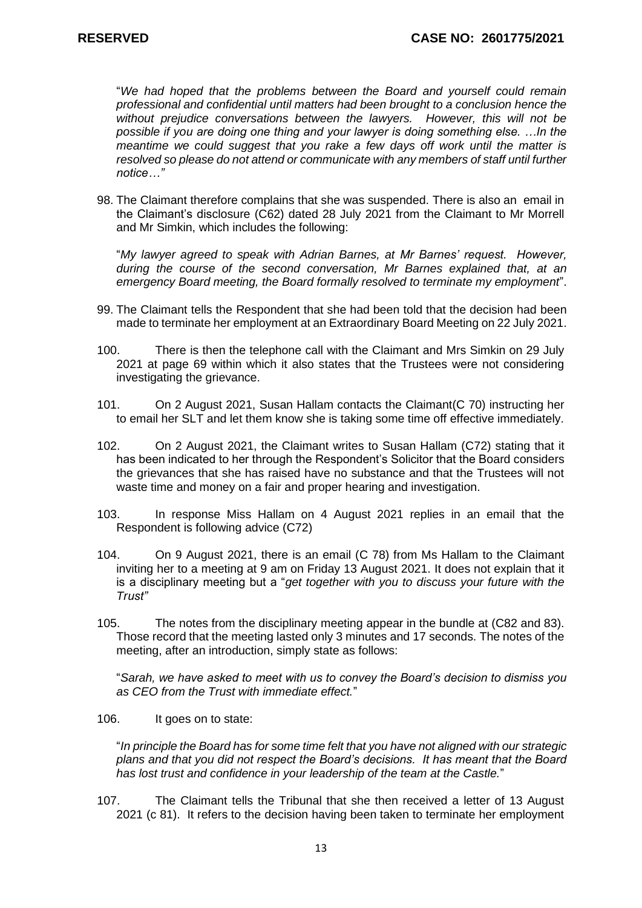"*We had hoped that the problems between the Board and yourself could remain professional and confidential until matters had been brought to a conclusion hence the without prejudice conversations between the lawyers. However, this will not be possible if you are doing one thing and your lawyer is doing something else. …In the meantime we could suggest that you rake a few days off work until the matter is resolved so please do not attend or communicate with any members of staff until further notice…"* 

98. The Claimant therefore complains that she was suspended. There is also an email in the Claimant's disclosure (C62) dated 28 July 2021 from the Claimant to Mr Morrell and Mr Simkin, which includes the following:

"*My lawyer agreed to speak with Adrian Barnes, at Mr Barnes' request. However, during the course of the second conversation, Mr Barnes explained that, at an emergency Board meeting, the Board formally resolved to terminate my employment*".

- 99. The Claimant tells the Respondent that she had been told that the decision had been made to terminate her employment at an Extraordinary Board Meeting on 22 July 2021.
- 100. There is then the telephone call with the Claimant and Mrs Simkin on 29 July 2021 at page 69 within which it also states that the Trustees were not considering investigating the grievance.
- 101. On 2 August 2021, Susan Hallam contacts the Claimant(C 70) instructing her to email her SLT and let them know she is taking some time off effective immediately.
- 102. On 2 August 2021, the Claimant writes to Susan Hallam (C72) stating that it has been indicated to her through the Respondent's Solicitor that the Board considers the grievances that she has raised have no substance and that the Trustees will not waste time and money on a fair and proper hearing and investigation.
- 103. In response Miss Hallam on 4 August 2021 replies in an email that the Respondent is following advice (C72)
- 104. On 9 August 2021, there is an email (C 78) from Ms Hallam to the Claimant inviting her to a meeting at 9 am on Friday 13 August 2021. It does not explain that it is a disciplinary meeting but a "*get together with you to discuss your future with the Trust"*
- 105. The notes from the disciplinary meeting appear in the bundle at (C82 and 83). Those record that the meeting lasted only 3 minutes and 17 seconds. The notes of the meeting, after an introduction, simply state as follows:

"*Sarah, we have asked to meet with us to convey the Board's decision to dismiss you as CEO from the Trust with immediate effect.*"

106. It goes on to state:

"*In principle the Board has for some time felt that you have not aligned with our strategic plans and that you did not respect the Board's decisions. It has meant that the Board has lost trust and confidence in your leadership of the team at the Castle.*"

107. The Claimant tells the Tribunal that she then received a letter of 13 August 2021 (c 81). It refers to the decision having been taken to terminate her employment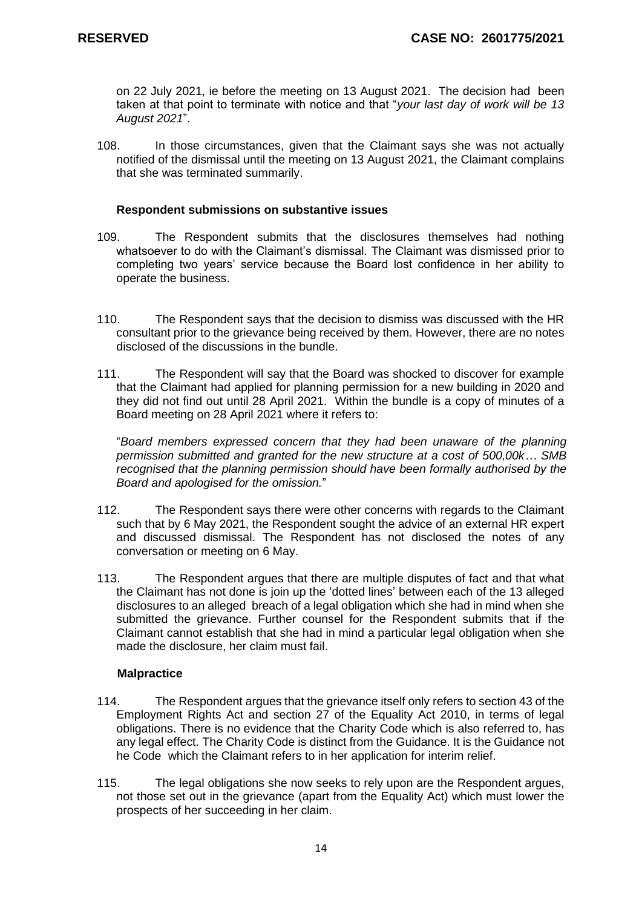on 22 July 2021, ie before the meeting on 13 August 2021. The decision had been taken at that point to terminate with notice and that "*your last day of work will be 13 August 2021*".

108. In those circumstances, given that the Claimant says she was not actually notified of the dismissal until the meeting on 13 August 2021, the Claimant complains that she was terminated summarily.

#### **Respondent submissions on substantive issues**

- 109. The Respondent submits that the disclosures themselves had nothing whatsoever to do with the Claimant's dismissal. The Claimant was dismissed prior to completing two years' service because the Board lost confidence in her ability to operate the business.
- 110. The Respondent says that the decision to dismiss was discussed with the HR consultant prior to the grievance being received by them. However, there are no notes disclosed of the discussions in the bundle.
- 111. The Respondent will say that the Board was shocked to discover for example that the Claimant had applied for planning permission for a new building in 2020 and they did not find out until 28 April 2021. Within the bundle is a copy of minutes of a Board meeting on 28 April 2021 where it refers to:

"*Board members expressed concern that they had been unaware of the planning permission submitted and granted for the new structure at a cost of 500,00k… SMB recognised that the planning permission should have been formally authorised by the Board and apologised for the omission.*"

- 112. The Respondent says there were other concerns with regards to the Claimant such that by 6 May 2021, the Respondent sought the advice of an external HR expert and discussed dismissal. The Respondent has not disclosed the notes of any conversation or meeting on 6 May.
- 113. The Respondent argues that there are multiple disputes of fact and that what the Claimant has not done is join up the 'dotted lines' between each of the 13 alleged disclosures to an alleged breach of a legal obligation which she had in mind when she submitted the grievance. Further counsel for the Respondent submits that if the Claimant cannot establish that she had in mind a particular legal obligation when she made the disclosure, her claim must fail.

# **Malpractice**

- 114. The Respondent argues that the grievance itself only refers to section 43 of the Employment Rights Act and section 27 of the Equality Act 2010, in terms of legal obligations. There is no evidence that the Charity Code which is also referred to, has any legal effect. The Charity Code is distinct from the Guidance. It is the Guidance not he Code which the Claimant refers to in her application for interim relief.
- 115. The legal obligations she now seeks to rely upon are the Respondent argues, not those set out in the grievance (apart from the Equality Act) which must lower the prospects of her succeeding in her claim.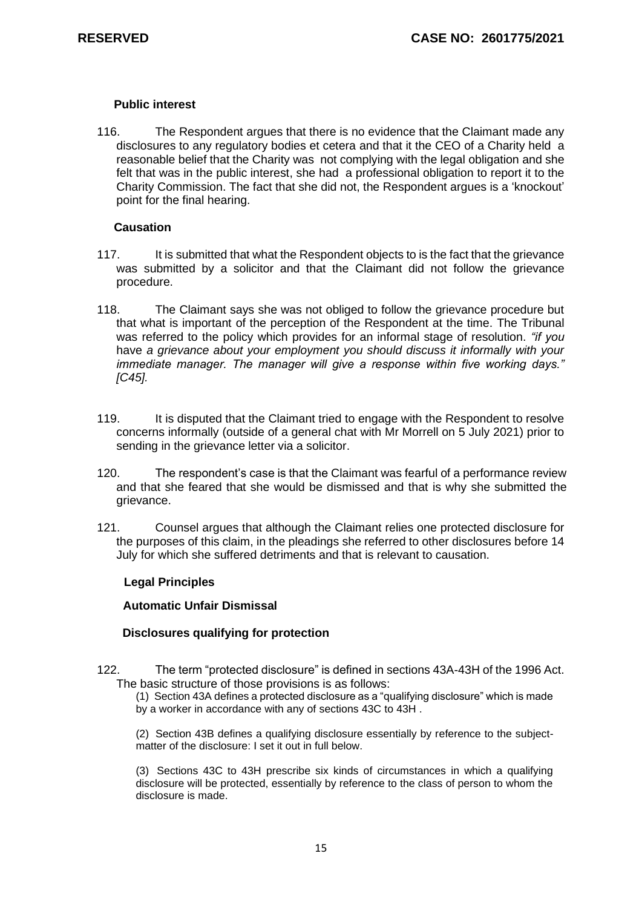#### **Public interest**

116. The Respondent argues that there is no evidence that the Claimant made any disclosures to any regulatory bodies et cetera and that it the CEO of a Charity held a reasonable belief that the Charity was not complying with the legal obligation and she felt that was in the public interest, she had a professional obligation to report it to the Charity Commission. The fact that she did not, the Respondent argues is a 'knockout' point for the final hearing.

#### **Causation**

- 117. It is submitted that what the Respondent objects to is the fact that the grievance was submitted by a solicitor and that the Claimant did not follow the grievance procedure.
- 118. The Claimant says she was not obliged to follow the grievance procedure but that what is important of the perception of the Respondent at the time. The Tribunal was referred to the policy which provides for an informal stage of resolution. *"if you*  have *a grievance about your employment you should discuss it informally with your immediate manager. The manager will give a response within five working days." [C45].*
- 119. It is disputed that the Claimant tried to engage with the Respondent to resolve concerns informally (outside of a general chat with Mr Morrell on 5 July 2021) prior to sending in the grievance letter via a solicitor.
- 120. The respondent's case is that the Claimant was fearful of a performance review and that she feared that she would be dismissed and that is why she submitted the grievance.
- 121. Counsel argues that although the Claimant relies one protected disclosure for the purposes of this claim, in the pleadings she referred to other disclosures before 14 July for which she suffered detriments and that is relevant to causation.

# **Legal Principles**

#### **Automatic Unfair Dismissal**

# **Disclosures qualifying for protection**

122. The term "protected disclosure" is defined in [sections 43A-43H](http://uk.westlaw.com/Document/ID4776F30E44E11DA8D70A0E70A78ED65/View/FullText.html?originationContext=document&transitionType=DocumentItem&vr=3.0&rs=PLUK1.0&contextData=(sc.DocLink)) of the 1996 Act. The basic structure of those provisions is as follows:

(1) [Section 43A](http://uk.westlaw.com/Document/ID4776F30E44E11DA8D70A0E70A78ED65/View/FullText.html?originationContext=document&transitionType=DocumentItem&vr=3.0&rs=PLUK1.0&contextData=(sc.DocLink)) defines a protected disclosure as a "qualifying disclosure" which is made by a worker in accordance with any of [sections 43C to 43H](http://uk.westlaw.com/Document/ID4799210E44E11DA8D70A0E70A78ED65/View/FullText.html?originationContext=document&transitionType=DocumentItem&vr=3.0&rs=PLUK1.0&contextData=(sc.DocLink)) .

(2) [Section 43B](http://uk.westlaw.com/Document/ID478F5D0E44E11DA8D70A0E70A78ED65/View/FullText.html?originationContext=document&transitionType=DocumentItem&vr=3.0&rs=PLUK1.0&contextData=(sc.DocLink)) defines a qualifying disclosure essentially by reference to the subjectmatter of the disclosure: I set it out in full below.

(3) [Sections 43C to 43H](http://uk.westlaw.com/Document/ID4799210E44E11DA8D70A0E70A78ED65/View/FullText.html?originationContext=document&transitionType=DocumentItem&vr=3.0&rs=PLUK1.0&contextData=(sc.DocLink)) prescribe six kinds of circumstances in which a qualifying disclosure will be protected, essentially by reference to the class of person to whom the disclosure is made.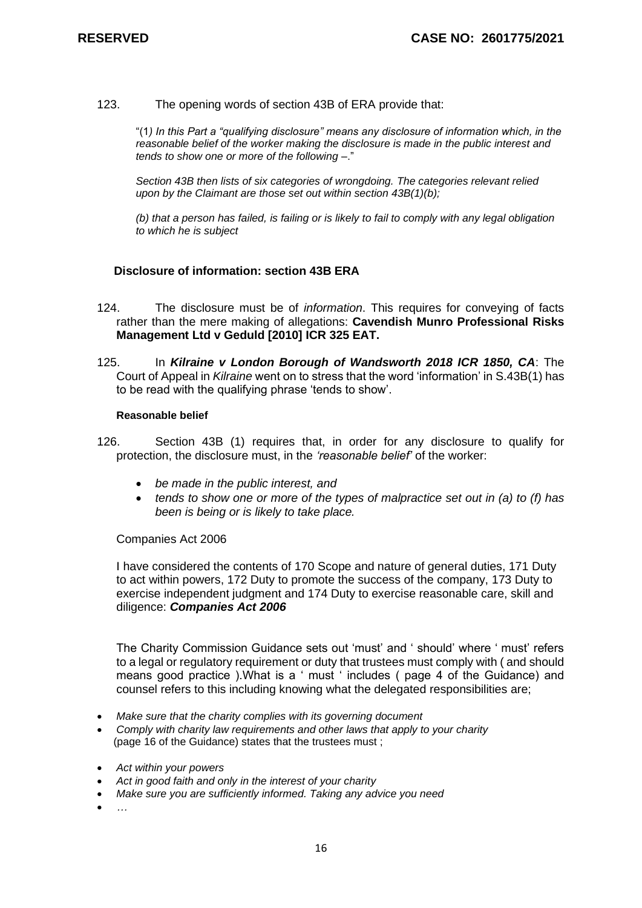123. The opening words of section 43B of ERA provide that:

"(1*) In this Part a "qualifying disclosure" means any disclosure of information which, in the reasonable belief of the worker making the disclosure is made in the public interest and tends to show one or more of the following* –."

*Section 43B then lists of six categories of wrongdoing. The categories relevant relied upon by the Claimant are those set out within section 43B(1)(b);*

*(b) that a person has failed, is failing or is likely to fail to comply with any legal obligation to which he is subject* 

#### **Disclosure of information: section 43B ERA**

- 124. The disclosure must be of *information*. This requires for conveying of facts rather than the mere making of allegations: **Cavendish Munro Professional Risks Management Ltd v Geduld [2010] ICR 325 EAT.**
- 125. In *[Kilraine v London Borough of Wandsworth 2018 ICR 1850, CA](http://uk.westlaw.com/Link/Document/FullText?findType=Y&serNum=2044773817&pubNum=6448&originatingDoc=IEC2459D055E011E79153C39CF1D5DBAB&refType=UC&originationContext=document&vr=3.0&rs=PLUK1.0&transitionType=CommentaryUKLink&contextData=(sc.Category))*: The Court of Appeal in *[Kilraine](http://uk.westlaw.com/Link/Document/FullText?findType=Y&serNum=2044773817&pubNum=6448&originatingDoc=IEC2459D055E011E79153C39CF1D5DBAB&refType=UC&originationContext=document&vr=3.0&rs=PLUK1.0&transitionType=CommentaryUKLink&contextData=(sc.Category))* went on to stress that the word 'information' in [S.43B\(1\)](http://uk.westlaw.com/Link/Document/FullText?findType=Y&serNum=0112753012&pubNum=121177&originatingDoc=IEC2459D055E011E79153C39CF1D5DBAB&refType=UL&originationContext=document&vr=3.0&rs=PLUK1.0&transitionType=CommentaryUKLink&contextData=(sc.Category)) has to be read with the qualifying phrase 'tends to show'.

#### **Reasonable belief**

- 126. [Section 43B \(1\)](http://uk.westlaw.com/Link/Document/FullText?findType=Y&serNum=0112753012&pubNum=121177&originatingDoc=I041A69C002CA11E9983B80BEA82DA8F6&refType=UL&originationContext=document&vr=3.0&rs=PLUK1.0&transitionType=CommentaryUKLink&contextData=(sc.Category)) requires that, in order for any disclosure to qualify for protection, the disclosure must, in the *'reasonable belief'* of the worker:
	- *be made in the public interest, and*
	- *tends to show one or more of the types of malpractice set out in (a) to (f) has been is being or is likely to take place.*

Companies Act 2006

I have considered the contents of 170 Scope and nature of general duties, 171 Duty to act within powers, 172 Duty to promote the success of the company, 173 Duty to exercise independent judgment and 174 Duty to exercise reasonable care, skill and diligence: *Companies Act 2006*

The Charity Commission Guidance sets out 'must' and ' should' where ' must' refers to a legal or regulatory requirement or duty that trustees must comply with ( and should means good practice ).What is a ' must ' includes ( page 4 of the Guidance) and counsel refers to this including knowing what the delegated responsibilities are;

- *Make sure that the charity complies with its governing document*
- *Comply with charity law requirements and other laws that apply to your charity* (page 16 of the Guidance) states that the trustees must ;
- *Act within your powers*
- *Act in good faith and only in the interest of your charity*
- *Make sure you are sufficiently informed. Taking any advice you need*
- *…*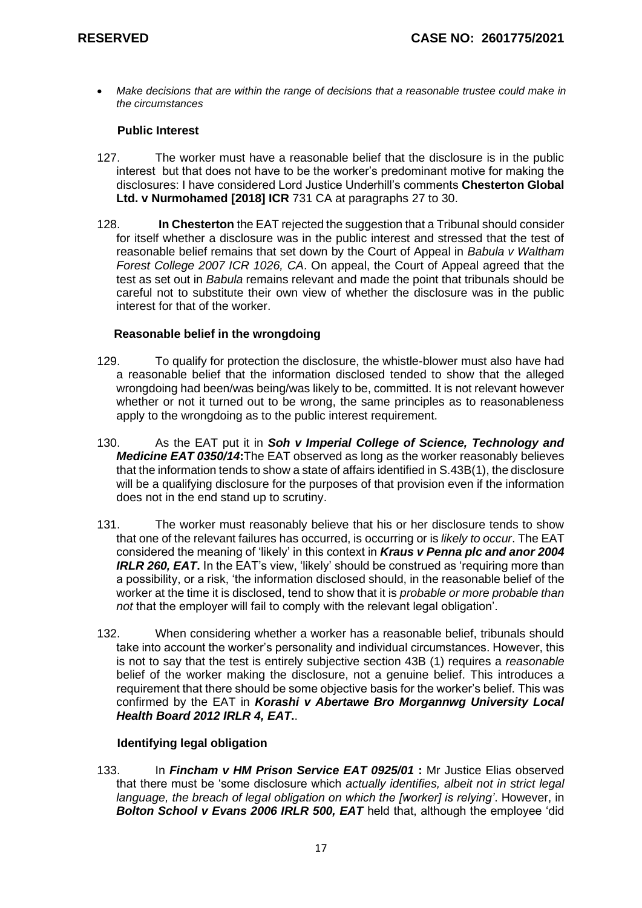• *Make decisions that are within the range of decisions that a reasonable trustee could make in the circumstances* 

# **Public Interest**

- 127. The worker must have a reasonable belief that the disclosure is in the public interest but that does not have to be the worker's predominant motive for making the disclosures: I have considered Lord Justice Underhill's comments **Chesterton Global Ltd. v Nurmohamed [2018] ICR** 731 CA at paragraphs 27 to 30.
- 128. **In Chesterton** the EAT rejected the suggestion that a Tribunal should consider for itself whether a disclosure was in the public interest and stressed that the test of reasonable belief remains that set down by the Court of Appeal in *[Babula v Waltham](http://uk.westlaw.com/Link/Document/FullText?findType=Y&serNum=2011616924&pubNum=6448&originatingDoc=IF3B1559055E011E79153C39CF1D5DBAB&refType=UC&originationContext=document&vr=3.0&rs=PLUK1.0&transitionType=CommentaryUKLink&contextData=(sc.Category))  [Forest College 2007 ICR 1026, CA](http://uk.westlaw.com/Link/Document/FullText?findType=Y&serNum=2011616924&pubNum=6448&originatingDoc=IF3B1559055E011E79153C39CF1D5DBAB&refType=UC&originationContext=document&vr=3.0&rs=PLUK1.0&transitionType=CommentaryUKLink&contextData=(sc.Category))*. On appeal, the Court of Appeal agreed that the test as set out in *[Babula](http://uk.westlaw.com/Link/Document/FullText?findType=Y&serNum=2011616924&pubNum=6448&originatingDoc=IF3B1559055E011E79153C39CF1D5DBAB&refType=UC&originationContext=document&vr=3.0&rs=PLUK1.0&transitionType=CommentaryUKLink&contextData=(sc.Category))* remains relevant and made the point that tribunals should be careful not to substitute their own view of whether the disclosure was in the public interest for that of the worker.

### **Reasonable belief in the wrongdoing**

- 129. To qualify for protection the disclosure, the whistle-blower must also have had a reasonable belief that the information disclosed tended to show that the alleged wrongdoing had been/was being/was likely to be, committed. It is not relevant however whether or not it turned out to be wrong, the same principles as to reasonableness apply to the wrongdoing as to the public interest requirement.
- 130. As the EAT put it in *Soh v Imperial College of Science, Technology and Medicine EAT 0350/14***:**The EAT observed as long as the worker reasonably believes that the information tends to show a state of affairs identified i[n S.43B\(1\),](http://uk.westlaw.com/Link/Document/FullText?findType=Y&serNum=0112753012&pubNum=121177&originatingDoc=I041A69C002CA11E9983B80BEA82DA8F6&refType=UL&originationContext=document&vr=3.0&rs=PLUK1.0&transitionType=CommentaryUKLink&contextData=(sc.Category)) the disclosure will be a qualifying disclosure for the purposes of that provision even if the information does not in the end stand up to scrutiny.
- 131. The worker must reasonably believe that his or her disclosure tends to show that one of the relevant failures has occurred, is occurring or is *likely to occur*. The EAT considered the meaning of 'likely' in this context in *[Kraus v Penna plc and anor 2004](http://uk.westlaw.com/Link/Document/FullText?findType=Y&serNum=2003872660&pubNum=8105&originatingDoc=I0AD6F62002CA11E9983B80BEA82DA8F6&refType=UC&originationContext=document&vr=3.0&rs=PLUK1.0&transitionType=CommentaryUKLink&contextData=(sc.Category))  [IRLR 260, EAT](http://uk.westlaw.com/Link/Document/FullText?findType=Y&serNum=2003872660&pubNum=8105&originatingDoc=I0AD6F62002CA11E9983B80BEA82DA8F6&refType=UC&originationContext=document&vr=3.0&rs=PLUK1.0&transitionType=CommentaryUKLink&contextData=(sc.Category)).* In the EAT's view, 'likely' should be construed as 'requiring more than a possibility, or a risk, 'the information disclosed should, in the reasonable belief of the worker at the time it is disclosed, tend to show that it is *probable or more probable than not* that the employer will fail to comply with the relevant legal obligation'.
- 132. When considering whether a worker has a reasonable belief, tribunals should take into account the worker's personality and individual circumstances. However, this is not to say that the test is entirely subjective section 43B (1) requires a *reasonable* belief of the worker making the disclosure, not a genuine belief. This introduces a requirement that there should be some objective basis for the worker's belief. This was confirmed by the EAT in *[Korashi v Abertawe Bro Morgannwg University Local](http://uk.westlaw.com/Link/Document/FullText?findType=Y&serNum=2026152000&pubNum=8105&originatingDoc=I041A69C002CA11E9983B80BEA82DA8F6&refType=UC&originationContext=document&vr=3.0&rs=PLUK1.0&transitionType=CommentaryUKLink&contextData=(sc.Category))  [Health Board 2012 IRLR](http://uk.westlaw.com/Link/Document/FullText?findType=Y&serNum=2026152000&pubNum=8105&originatingDoc=I041A69C002CA11E9983B80BEA82DA8F6&refType=UC&originationContext=document&vr=3.0&rs=PLUK1.0&transitionType=CommentaryUKLink&contextData=(sc.Category)) 4, EAT***.**.

# **Identifying legal obligation**

133. In *[Fincham v HM Prison Service EAT 0925/01](http://uk.westlaw.com/Link/Document/FullText?findType=Y&serNum=2002844289&pubNum=8105&originatingDoc=I08CA363002CA11E9983B80BEA82DA8F6&refType=UC&originationContext=document&vr=3.0&rs=PLUK1.0&transitionType=CommentaryUKLink&contextData=(sc.Category))* **:** Mr Justice Elias observed that there must be 'some disclosure which *actually identifies, albeit not in strict legal language, the breach of legal obligation on which the [worker] is relying'*. However, in *[Bolton School v Evans 2006 IRLR 500, EAT](http://uk.westlaw.com/Link/Document/FullText?findType=Y&serNum=2008652850&pubNum=8105&originatingDoc=I08CA363002CA11E9983B80BEA82DA8F6&refType=UC&originationContext=document&vr=3.0&rs=PLUK1.0&transitionType=CommentaryUKLink&contextData=(sc.Category))* held that, although the employee 'did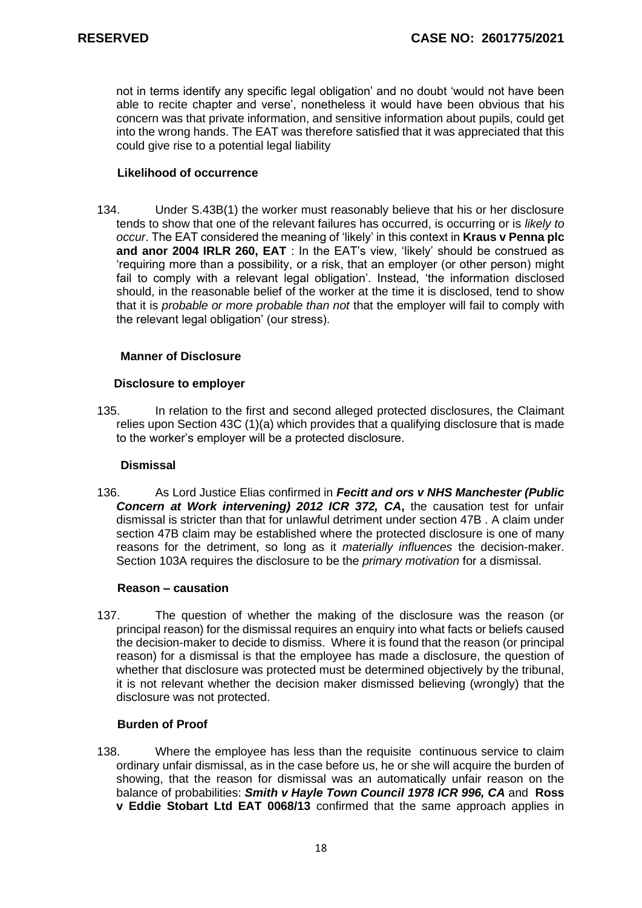not in terms identify any specific legal obligation' and no doubt 'would not have been able to recite chapter and verse', nonetheless it would have been obvious that his concern was that private information, and sensitive information about pupils, could get into the wrong hands. The EAT was therefore satisfied that it was appreciated that this could give rise to a potential legal liability

# **Likelihood of occurrence**

134. Under [S.43B\(1\)](http://uk.westlaw.com/Link/Document/FullText?findType=Y&serNum=0112753012&pubNum=121177&originatingDoc=I0AD6F62002CA11E9983B80BEA82DA8F6&refType=UL&originationContext=document&vr=3.0&rs=PLUK1.0&transitionType=CommentaryUKLink&contextData=(sc.Category)) the worker must reasonably believe that his or her disclosure tends to show that one of the relevant failures has occurred, is occurring or is *likely to occur*. The EAT considered the meaning of 'likely' in this context in **Kraus [v Penna plc](http://uk.westlaw.com/Link/Document/FullText?findType=Y&serNum=2003872660&pubNum=8105&originatingDoc=I0AD6F62002CA11E9983B80BEA82DA8F6&refType=UC&originationContext=document&vr=3.0&rs=PLUK1.0&transitionType=CommentaryUKLink&contextData=(sc.Category))  [and anor 2004 IRLR 260, EAT](http://uk.westlaw.com/Link/Document/FullText?findType=Y&serNum=2003872660&pubNum=8105&originatingDoc=I0AD6F62002CA11E9983B80BEA82DA8F6&refType=UC&originationContext=document&vr=3.0&rs=PLUK1.0&transitionType=CommentaryUKLink&contextData=(sc.Category))** : In the EAT's view, 'likely' should be construed as 'requiring more than a possibility, or a risk, that an employer (or other person) might fail to comply with a relevant legal obligation'. Instead, 'the information disclosed should, in the reasonable belief of the worker at the time it is disclosed, tend to show that it is *probable or more probable than not* that the employer will fail to comply with the relevant legal obligation' (our stress).

### **Manner of Disclosure**

### **Disclosure to employer**

135. In relation to the first and second alleged protected disclosures, the Claimant relies upon Section 43C (1)(a) which provides that a qualifying disclosure that is made to the worker's employer will be a protected disclosure.

#### **Dismissal**

136. As Lord Justice Elias confirmed in *[Fecitt and ors v NHS Manchester \(Public](http://uk.westlaw.com/Link/Document/FullText?findType=Y&serNum=2026364342&pubNum=6448&originatingDoc=I07582FA002CA11E9983B80BEA82DA8F6&refType=UC&originationContext=document&vr=3.0&rs=PLUK1.0&transitionType=CommentaryUKLink&contextData=(sc.Category))  [Concern at Work intervening\) 2012 ICR 372, CA](http://uk.westlaw.com/Link/Document/FullText?findType=Y&serNum=2026364342&pubNum=6448&originatingDoc=I07582FA002CA11E9983B80BEA82DA8F6&refType=UC&originationContext=document&vr=3.0&rs=PLUK1.0&transitionType=CommentaryUKLink&contextData=(sc.Category))***,** the causation test for unfair dismissal is stricter than that for unlawful detriment under section 47B . A claim under section 47B claim may be established where the protected disclosure is one of many reasons for the detriment, so long as it *materially influences* the decision-maker. Section 103A requires the disclosure to be the *primary motivation* for a dismissal.

#### **Reason – causation**

137. The question of whether the making of the disclosure was the reason (or principal reason) for the dismissal requires an enquiry into what facts or beliefs caused the decision-maker to decide to dismiss. Where it is found that the reason (or principal reason) for a dismissal is that the employee has made a disclosure, the question of whether that disclosure was protected must be determined objectively by the tribunal, it is not relevant whether the decision maker dismissed believing (wrongly) that the disclosure was not protected.

#### **Burden of Proof**

138. Where the employee has less than the requisite continuous service to claim ordinary unfair dismissal, as in the case before us, he or she will acquire the burden of showing, that the reason for dismissal was an automatically unfair reason on the balance of probabilities: *[Smith v Hayle Town Council 1978 ICR 996, CA](http://uk.westlaw.com/Link/Document/FullText?findType=Y&serNum=1978025792&pubNum=8105&originatingDoc=I08F6C47002CA11E9983B80BEA82DA8F6&refType=UC&originationContext=document&vr=3.0&rs=PLUK1.0&transitionType=CommentaryUKLink&contextData=(sc.Category))* and **Ross v Eddie Stobart Ltd EAT 0068/13** confirmed that the same approach applies in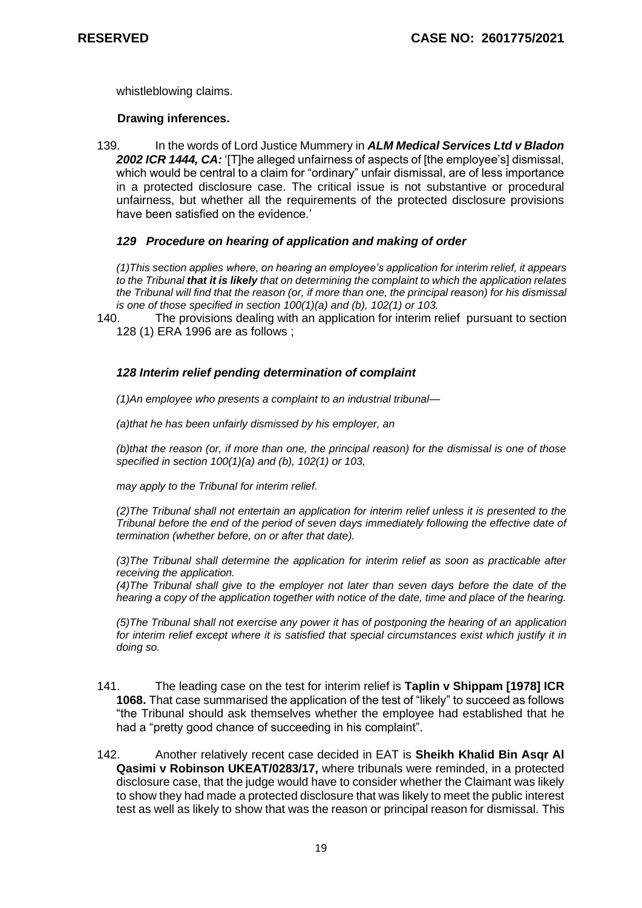whistleblowing claims.

#### **Drawing inferences.**

139. In the words of Lord Justice Mummery in *[ALM Medical Services Ltd v Bladon](http://uk.westlaw.com/Link/Document/FullText?findType=Y&serNum=2002421085&pubNum=6448&originatingDoc=IFA5047D055E011E79153C39CF1D5DBAB&refType=UC&originationContext=document&vr=3.0&rs=PLUK1.0&transitionType=CommentaryUKLink&contextData=(sc.Category))  2002 ICR [1444, CA:](http://uk.westlaw.com/Link/Document/FullText?findType=Y&serNum=2002421085&pubNum=6448&originatingDoc=IFA5047D055E011E79153C39CF1D5DBAB&refType=UC&originationContext=document&vr=3.0&rs=PLUK1.0&transitionType=CommentaryUKLink&contextData=(sc.Category))* '[T]he alleged unfairness of aspects of [the employee's] dismissal, which would be central to a claim for "ordinary" unfair dismissal, are of less importance in a protected disclosure case. The critical issue is not substantive or procedural unfairness, but whether all the requirements of the protected disclosure provisions have been satisfied on the evidence.'

# *129 Procedure on hearing of application and making of order*

*(1)This section applies where, on hearing an employee's application for interim relief, it appears to the Tribunal that it is likely that on determining the complaint to which the application relates the Tribunal will find that the reason (or, if more than one, the principal reason) for his dismissal is one of those specified in section 100(1)(a) and (b), 102(1) or 103.*

140. The provisions dealing with an application for interim relief pursuant to section 128 (1) ERA 1996 are as follows ;

# *128 Interim relief pending determination of complaint*

*(1)An employee who presents a complaint to an industrial tribunal—*

*(a)that he has been unfairly dismissed by his employer, an*

*(b)that the reason (or, if more than one, the principal reason) for the dismissal is one of those specified in section 100(1)(a) and (b), 102(1) or 103,*

*may apply to the Tribunal for interim relief.*

*(2)The Tribunal shall not entertain an application for interim relief unless it is presented to the Tribunal before the end of the period of seven days immediately following the effective date of termination (whether before, on or after that date).*

*(3)The Tribunal shall determine the application for interim relief as soon as practicable after receiving the application.*

*(4)The Tribunal shall give to the employer not later than seven days before the date of the hearing a copy of the application together with notice of the date, time and place of the hearing.*

*(5)The Tribunal shall not exercise any power it has of postponing the hearing of an application for interim relief except where it is satisfied that special circumstances exist which justify it in doing so.*

- 141. The leading case on the test for interim relief is **Taplin v Shippam [1978] ICR 1068.** That case summarised the application of the test of "likely" to succeed as follows "the Tribunal should ask themselves whether the employee had established that he had a "pretty good chance of succeeding in his complaint".
- 142. Another relatively recent case decided in EAT is **Sheikh Khalid Bin Asqr Al Qasimi v Robinson UKEAT/0283/17,** where tribunals were reminded, in a protected disclosure case, that the judge would have to consider whether the Claimant was likely to show they had made a protected disclosure that was likely to meet the public interest test as well as likely to show that was the reason or principal reason for dismissal. This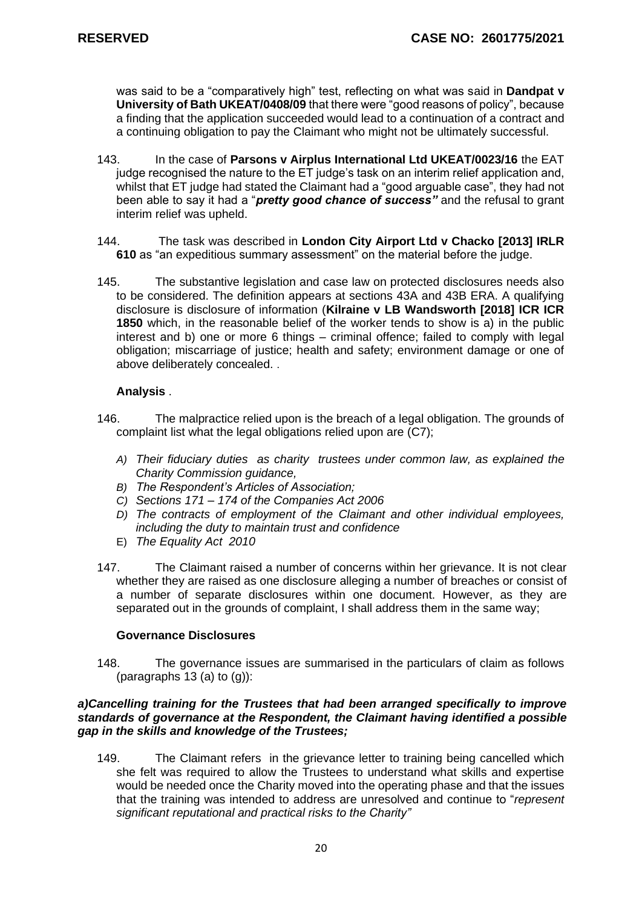was said to be a "comparatively high" test, reflecting on what was said in **Dandpat v University of Bath UKEAT/0408/09** that there were "good reasons of policy", because a finding that the application succeeded would lead to a continuation of a contract and a continuing obligation to pay the Claimant who might not be ultimately successful.

- 143. In the case of **Parsons v Airplus International Ltd UKEAT/0023/16** the EAT judge recognised the nature to the ET judge's task on an interim relief application and, whilst that ET judge had stated the Claimant had a "good arguable case", they had not been able to say it had a "*pretty good chance of success"* and the refusal to grant interim relief was upheld.
- 144. The task was described in **London City Airport Ltd v Chacko [2013] IRLR 610** as "an expeditious summary assessment" on the material before the judge.
- 145. The substantive legislation and case law on protected disclosures needs also to be considered. The definition appears at sections 43A and 43B ERA. A qualifying disclosure is disclosure of information (**Kilraine v LB Wandsworth [2018] ICR ICR 1850** which, in the reasonable belief of the worker tends to show is a) in the public interest and b) one or more 6 things – criminal offence; failed to comply with legal obligation; miscarriage of justice; health and safety; environment damage or one of above deliberately concealed. .

# **Analysis** .

- 146. The malpractice relied upon is the breach of a legal obligation. The grounds of complaint list what the legal obligations relied upon are (C7);
	- *A) Their fiduciary duties as charity trustees under common law, as explained the Charity Commission guidance,*
	- *B) The Respondent's Articles of Association;*
	- *C) Sections 171 – 174 of the Companies Act 2006*
	- *D) The contracts of employment of the Claimant and other individual employees, including the duty to maintain trust and confidence*
	- E) *The Equality Act 2010*
- 147. The Claimant raised a number of concerns within her grievance. It is not clear whether they are raised as one disclosure alleging a number of breaches or consist of a number of separate disclosures within one document. However, as they are separated out in the grounds of complaint, I shall address them in the same way;

#### **Governance Disclosures**

148. The governance issues are summarised in the particulars of claim as follows (paragraphs 13 (a) to  $(g)$ ):

#### *a)Cancelling training for the Trustees that had been arranged specifically to improve standards of governance at the Respondent, the Claimant having identified a possible gap in the skills and knowledge of the Trustees;*

149. The Claimant refers in the grievance letter to training being cancelled which she felt was required to allow the Trustees to understand what skills and expertise would be needed once the Charity moved into the operating phase and that the issues that the training was intended to address are unresolved and continue to "*represent significant reputational and practical risks to the Charity"*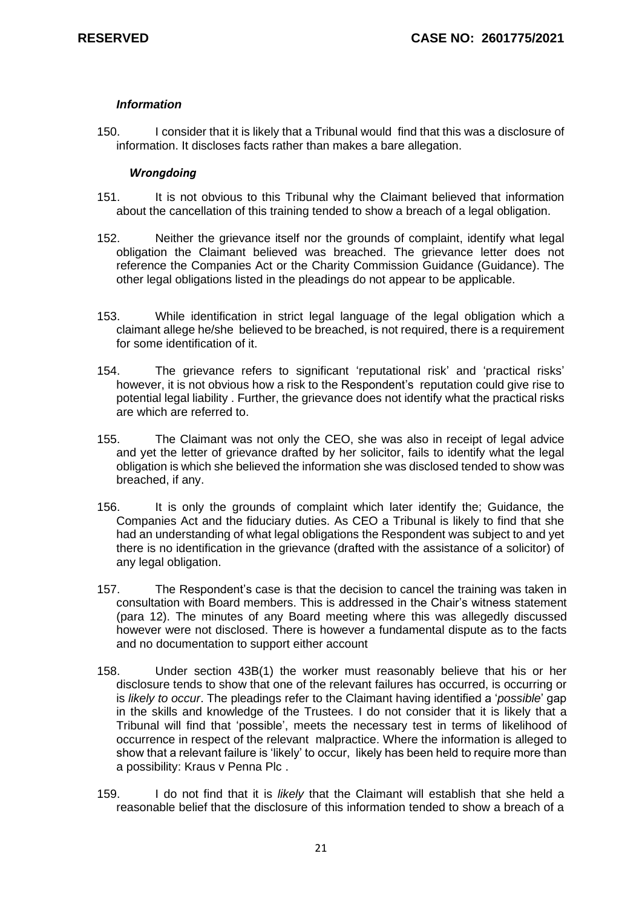# *Information*

150. I consider that it is likely that a Tribunal would find that this was a disclosure of information. It discloses facts rather than makes a bare allegation.

#### *Wrongdoing*

- 151. It is not obvious to this Tribunal why the Claimant believed that information about the cancellation of this training tended to show a breach of a legal obligation.
- 152. Neither the grievance itself nor the grounds of complaint, identify what legal obligation the Claimant believed was breached. The grievance letter does not reference the Companies Act or the Charity Commission Guidance (Guidance). The other legal obligations listed in the pleadings do not appear to be applicable.
- 153. While identification in strict legal language of the legal obligation which a claimant allege he/she believed to be breached, is not required, there is a requirement for some identification of it.
- 154. The grievance refers to significant 'reputational risk' and 'practical risks' however, it is not obvious how a risk to the Respondent's reputation could give rise to potential legal liability . Further, the grievance does not identify what the practical risks are which are referred to.
- 155. The Claimant was not only the CEO, she was also in receipt of legal advice and yet the letter of grievance drafted by her solicitor, fails to identify what the legal obligation is which she believed the information she was disclosed tended to show was breached, if any.
- 156. It is only the grounds of complaint which later identify the; Guidance, the Companies Act and the fiduciary duties. As CEO a Tribunal is likely to find that she had an understanding of what legal obligations the Respondent was subject to and yet there is no identification in the grievance (drafted with the assistance of a solicitor) of any legal obligation.
- 157. The Respondent's case is that the decision to cancel the training was taken in consultation with Board members. This is addressed in the Chair's witness statement (para 12). The minutes of any Board meeting where this was allegedly discussed however were not disclosed. There is however a fundamental dispute as to the facts and no documentation to support either account
- 158. Under [section 43B\(1\)](http://uk.westlaw.com/Link/Document/FullText?findType=Y&serNum=0112753012&pubNum=121177&originatingDoc=I0AD6F62002CA11E9983B80BEA82DA8F6&refType=UL&originationContext=document&vr=3.0&rs=PLUK1.0&transitionType=CommentaryUKLink&contextData=(sc.Category)) the worker must reasonably believe that his or her disclosure tends to show that one of the relevant failures has occurred, is occurring or is *likely to occur*. The pleadings refer to the Claimant having identified a '*possible*' gap in the skills and knowledge of the Trustees. I do not consider that it is likely that a Tribunal will find that 'possible', meets the necessary test in terms of likelihood of occurrence in respect of the relevant malpractice. Where the information is alleged to show that a relevant failure is 'likely' to occur, likely has been held to require more than a possibility: Kraus v Penna Plc .
- 159. I do not find that it is *likely* that the Claimant will establish that she held a reasonable belief that the disclosure of this information tended to show a breach of a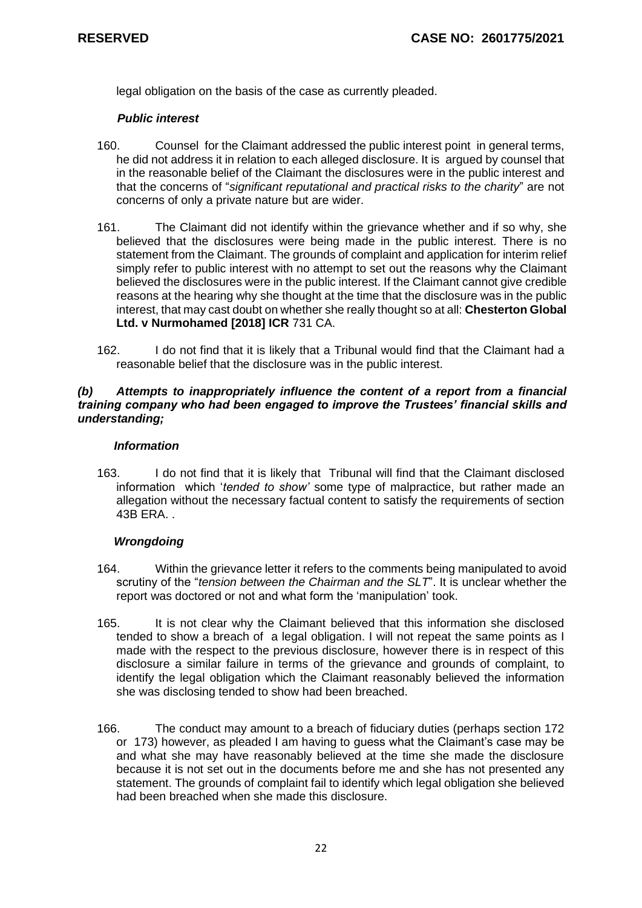legal obligation on the basis of the case as currently pleaded.

# *Public interest*

- 160. Counsel for the Claimant addressed the public interest point in general terms, he did not address it in relation to each alleged disclosure. It is argued by counsel that in the reasonable belief of the Claimant the disclosures were in the public interest and that the concerns of "*significant reputational and practical risks to the charity*" are not concerns of only a private nature but are wider.
- 161. The Claimant did not identify within the grievance whether and if so why, she believed that the disclosures were being made in the public interest. There is no statement from the Claimant. The grounds of complaint and application for interim relief simply refer to public interest with no attempt to set out the reasons why the Claimant believed the disclosures were in the public interest. If the Claimant cannot give credible reasons at the hearing why she thought at the time that the disclosure was in the public interest, that may cast doubt on whether she really thought so at all: **Chesterton Global Ltd. v Nurmohamed [2018] ICR** 731 CA.
- 162. I do not find that it is likely that a Tribunal would find that the Claimant had a reasonable belief that the disclosure was in the public interest.

### *(b) Attempts to inappropriately influence the content of a report from a financial training company who had been engaged to improve the Trustees' financial skills and understanding;*

### *Information*

163. I do not find that it is likely that Tribunal will find that the Claimant disclosed information which '*tended to show'* some type of malpractice, but rather made an allegation without the necessary factual content to satisfy the requirements of section 43B ERA. .

# *Wrongdoing*

- 164. Within the grievance letter it refers to the comments being manipulated to avoid scrutiny of the "*tension between the Chairman and the SLT*". It is unclear whether the report was doctored or not and what form the 'manipulation' took.
- 165. It is not clear why the Claimant believed that this information she disclosed tended to show a breach of a legal obligation. I will not repeat the same points as I made with the respect to the previous disclosure, however there is in respect of this disclosure a similar failure in terms of the grievance and grounds of complaint, to identify the legal obligation which the Claimant reasonably believed the information she was disclosing tended to show had been breached.
- 166. The conduct may amount to a breach of fiduciary duties (perhaps section 172 or 173) however, as pleaded I am having to guess what the Claimant's case may be and what she may have reasonably believed at the time she made the disclosure because it is not set out in the documents before me and she has not presented any statement. The grounds of complaint fail to identify which legal obligation she believed had been breached when she made this disclosure.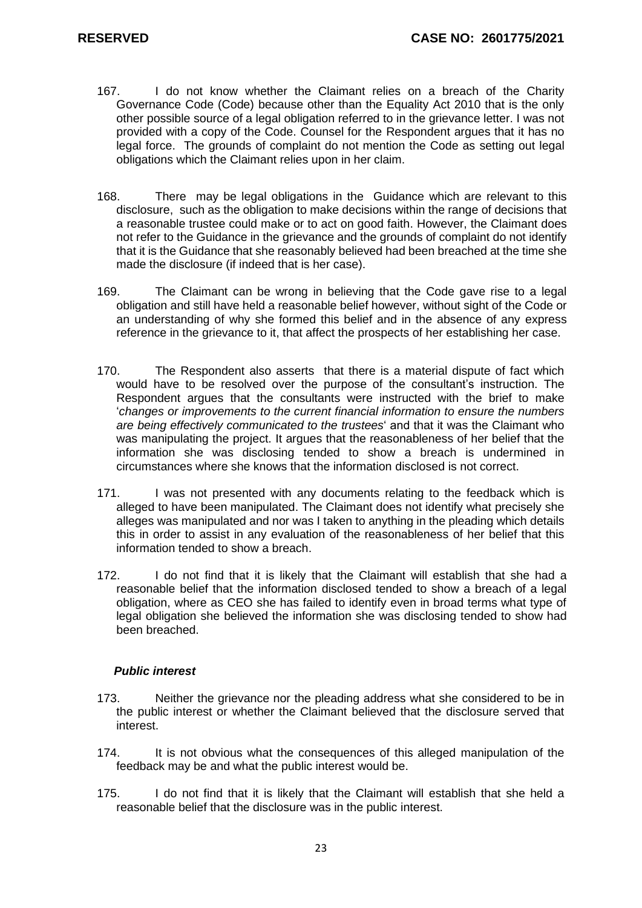- 167. I do not know whether the Claimant relies on a breach of the Charity Governance Code (Code) because other than the Equality Act 2010 that is the only other possible source of a legal obligation referred to in the grievance letter. I was not provided with a copy of the Code. Counsel for the Respondent argues that it has no legal force. The grounds of complaint do not mention the Code as setting out legal obligations which the Claimant relies upon in her claim.
- 168. There may be legal obligations in the Guidance which are relevant to this disclosure, such as the obligation to make decisions within the range of decisions that a reasonable trustee could make or to act on good faith. However, the Claimant does not refer to the Guidance in the grievance and the grounds of complaint do not identify that it is the Guidance that she reasonably believed had been breached at the time she made the disclosure (if indeed that is her case).
- 169. The Claimant can be wrong in believing that the Code gave rise to a legal obligation and still have held a reasonable belief however, without sight of the Code or an understanding of why she formed this belief and in the absence of any express reference in the grievance to it, that affect the prospects of her establishing her case.
- 170. The Respondent also asserts that there is a material dispute of fact which would have to be resolved over the purpose of the consultant's instruction. The Respondent argues that the consultants were instructed with the brief to make '*changes or improvements to the current financial information to ensure the numbers are being effectively communicated to the trustees*' and that it was the Claimant who was manipulating the project. It argues that the reasonableness of her belief that the information she was disclosing tended to show a breach is undermined in circumstances where she knows that the information disclosed is not correct.
- 171. I was not presented with any documents relating to the feedback which is alleged to have been manipulated. The Claimant does not identify what precisely she alleges was manipulated and nor was I taken to anything in the pleading which details this in order to assist in any evaluation of the reasonableness of her belief that this information tended to show a breach.
- 172. I do not find that it is likely that the Claimant will establish that she had a reasonable belief that the information disclosed tended to show a breach of a legal obligation, where as CEO she has failed to identify even in broad terms what type of legal obligation she believed the information she was disclosing tended to show had been breached.

- 173. Neither the grievance nor the pleading address what she considered to be in the public interest or whether the Claimant believed that the disclosure served that interest.
- 174. It is not obvious what the consequences of this alleged manipulation of the feedback may be and what the public interest would be.
- 175. I do not find that it is likely that the Claimant will establish that she held a reasonable belief that the disclosure was in the public interest.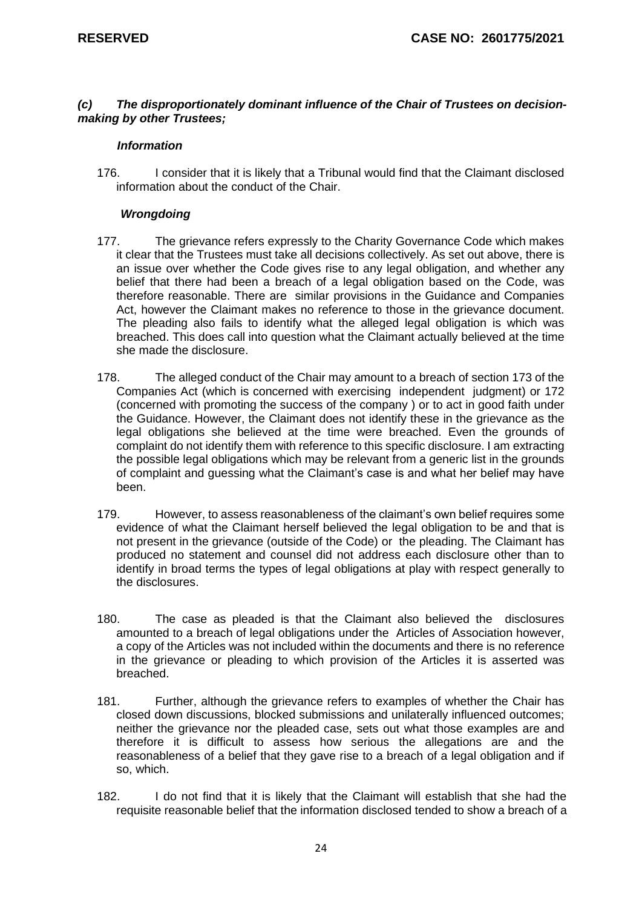#### *(c) The disproportionately dominant influence of the Chair of Trustees on decisionmaking by other Trustees;*

#### *Information*

176. I consider that it is likely that a Tribunal would find that the Claimant disclosed information about the conduct of the Chair.

#### *Wrongdoing*

- 177. The grievance refers expressly to the Charity Governance Code which makes it clear that the Trustees must take all decisions collectively. As set out above, there is an issue over whether the Code gives rise to any legal obligation, and whether any belief that there had been a breach of a legal obligation based on the Code, was therefore reasonable. There are similar provisions in the Guidance and Companies Act, however the Claimant makes no reference to those in the grievance document. The pleading also fails to identify what the alleged legal obligation is which was breached. This does call into question what the Claimant actually believed at the time she made the disclosure.
- 178. The alleged conduct of the Chair may amount to a breach of section 173 of the Companies Act (which is concerned with exercising independent judgment) or 172 (concerned with promoting the success of the company ) or to act in good faith under the Guidance. However, the Claimant does not identify these in the grievance as the legal obligations she believed at the time were breached. Even the grounds of complaint do not identify them with reference to this specific disclosure. I am extracting the possible legal obligations which may be relevant from a generic list in the grounds of complaint and guessing what the Claimant's case is and what her belief may have been.
- 179. However, to assess reasonableness of the claimant's own belief requires some evidence of what the Claimant herself believed the legal obligation to be and that is not present in the grievance (outside of the Code) or the pleading. The Claimant has produced no statement and counsel did not address each disclosure other than to identify in broad terms the types of legal obligations at play with respect generally to the disclosures.
- 180. The case as pleaded is that the Claimant also believed the disclosures amounted to a breach of legal obligations under the Articles of Association however, a copy of the Articles was not included within the documents and there is no reference in the grievance or pleading to which provision of the Articles it is asserted was breached.
- 181. Further, although the grievance refers to examples of whether the Chair has closed down discussions, blocked submissions and unilaterally influenced outcomes; neither the grievance nor the pleaded case, sets out what those examples are and therefore it is difficult to assess how serious the allegations are and the reasonableness of a belief that they gave rise to a breach of a legal obligation and if so, which.
- 182. I do not find that it is likely that the Claimant will establish that she had the requisite reasonable belief that the information disclosed tended to show a breach of a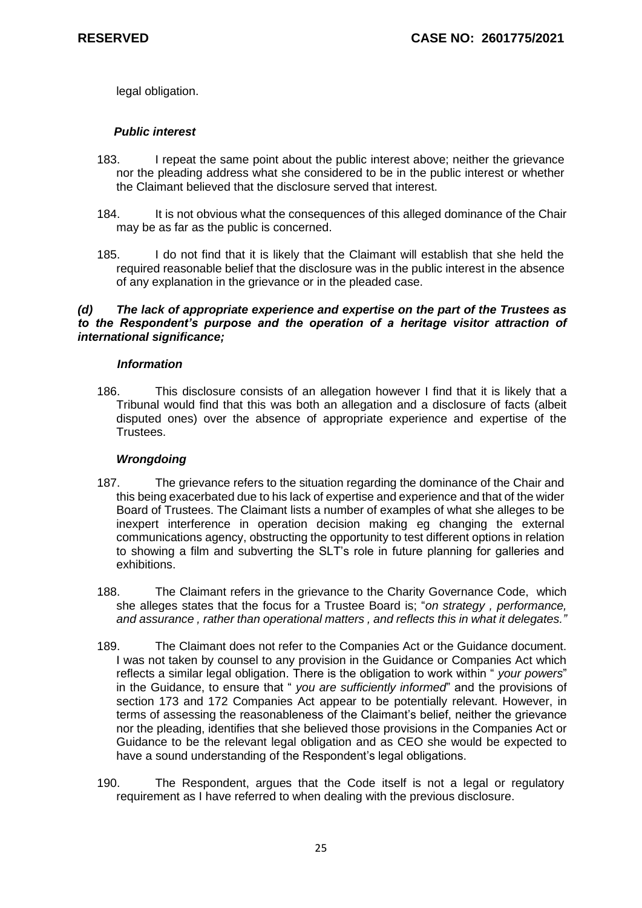legal obligation.

# *Public interest*

- 183. I repeat the same point about the public interest above; neither the grievance nor the pleading address what she considered to be in the public interest or whether the Claimant believed that the disclosure served that interest.
- 184. It is not obvious what the consequences of this alleged dominance of the Chair may be as far as the public is concerned.
- 185. I do not find that it is likely that the Claimant will establish that she held the required reasonable belief that the disclosure was in the public interest in the absence of any explanation in the grievance or in the pleaded case.

# *(d) The lack of appropriate experience and expertise on the part of the Trustees as to the Respondent's purpose and the operation of a heritage visitor attraction of international significance;*

### *Information*

186. This disclosure consists of an allegation however I find that it is likely that a Tribunal would find that this was both an allegation and a disclosure of facts (albeit disputed ones) over the absence of appropriate experience and expertise of the Trustees.

# *Wrongdoing*

- 187. The grievance refers to the situation regarding the dominance of the Chair and this being exacerbated due to his lack of expertise and experience and that of the wider Board of Trustees. The Claimant lists a number of examples of what she alleges to be inexpert interference in operation decision making eg changing the external communications agency, obstructing the opportunity to test different options in relation to showing a film and subverting the SLT's role in future planning for galleries and exhibitions.
- 188. The Claimant refers in the grievance to the Charity Governance Code, which she alleges states that the focus for a Trustee Board is; "*on strategy , performance, and assurance , rather than operational matters , and reflects this in what it delegates."*
- 189. The Claimant does not refer to the Companies Act or the Guidance document. I was not taken by counsel to any provision in the Guidance or Companies Act which reflects a similar legal obligation. There is the obligation to work within " *your powers*" in the Guidance, to ensure that " *you are sufficiently informed*" and the provisions of section 173 and 172 Companies Act appear to be potentially relevant. However, in terms of assessing the reasonableness of the Claimant's belief, neither the grievance nor the pleading, identifies that she believed those provisions in the Companies Act or Guidance to be the relevant legal obligation and as CEO she would be expected to have a sound understanding of the Respondent's legal obligations.
- 190. The Respondent, argues that the Code itself is not a legal or regulatory requirement as I have referred to when dealing with the previous disclosure.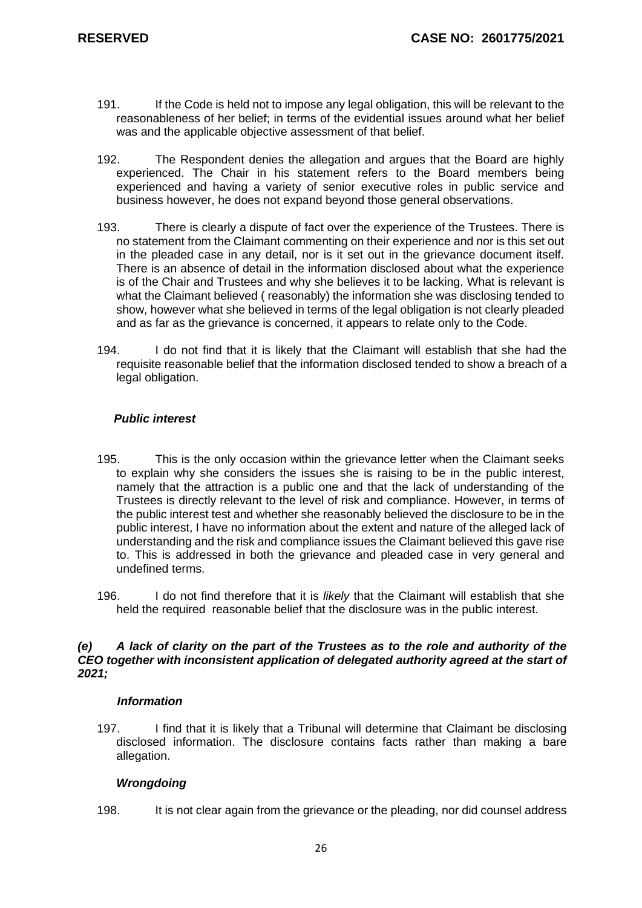- 191. If the Code is held not to impose any legal obligation, this will be relevant to the reasonableness of her belief; in terms of the evidential issues around what her belief was and the applicable objective assessment of that belief.
- 192. The Respondent denies the allegation and argues that the Board are highly experienced. The Chair in his statement refers to the Board members being experienced and having a variety of senior executive roles in public service and business however, he does not expand beyond those general observations.
- 193. There is clearly a dispute of fact over the experience of the Trustees. There is no statement from the Claimant commenting on their experience and nor is this set out in the pleaded case in any detail, nor is it set out in the grievance document itself. There is an absence of detail in the information disclosed about what the experience is of the Chair and Trustees and why she believes it to be lacking. What is relevant is what the Claimant believed ( reasonably) the information she was disclosing tended to show, however what she believed in terms of the legal obligation is not clearly pleaded and as far as the grievance is concerned, it appears to relate only to the Code.
- 194. I do not find that it is likely that the Claimant will establish that she had the requisite reasonable belief that the information disclosed tended to show a breach of a legal obligation.

# *Public interest*

- 195. This is the only occasion within the grievance letter when the Claimant seeks to explain why she considers the issues she is raising to be in the public interest, namely that the attraction is a public one and that the lack of understanding of the Trustees is directly relevant to the level of risk and compliance. However, in terms of the public interest test and whether she reasonably believed the disclosure to be in the public interest, I have no information about the extent and nature of the alleged lack of understanding and the risk and compliance issues the Claimant believed this gave rise to. This is addressed in both the grievance and pleaded case in very general and undefined terms.
- 196. I do not find therefore that it is *likely* that the Claimant will establish that she held the required reasonable belief that the disclosure was in the public interest.

# *(e) A lack of clarity on the part of the Trustees as to the role and authority of the CEO together with inconsistent application of delegated authority agreed at the start of 2021;*

#### *Information*

197. I find that it is likely that a Tribunal will determine that Claimant be disclosing disclosed information. The disclosure contains facts rather than making a bare allegation.

# *Wrongdoing*

198. It is not clear again from the grievance or the pleading, nor did counsel address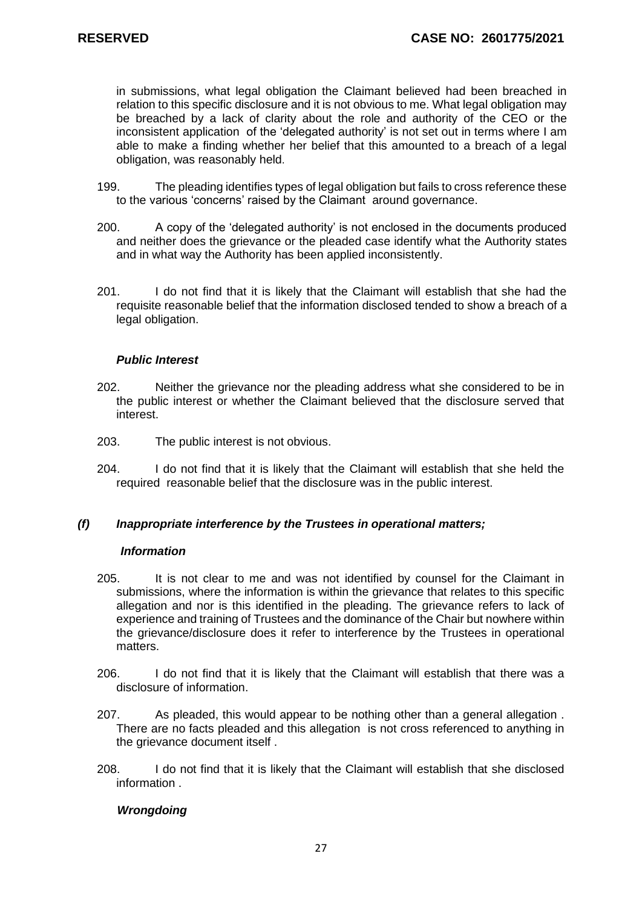in submissions, what legal obligation the Claimant believed had been breached in relation to this specific disclosure and it is not obvious to me. What legal obligation may be breached by a lack of clarity about the role and authority of the CEO or the inconsistent application of the 'delegated authority' is not set out in terms where I am able to make a finding whether her belief that this amounted to a breach of a legal obligation, was reasonably held.

- 199. The pleading identifies types of legal obligation but fails to cross reference these to the various 'concerns' raised by the Claimant around governance.
- 200. A copy of the 'delegated authority' is not enclosed in the documents produced and neither does the grievance or the pleaded case identify what the Authority states and in what way the Authority has been applied inconsistently.
- 201. I do not find that it is likely that the Claimant will establish that she had the requisite reasonable belief that the information disclosed tended to show a breach of a legal obligation.

# *Public Interest*

- 202. Neither the grievance nor the pleading address what she considered to be in the public interest or whether the Claimant believed that the disclosure served that interest.
- 203. The public interest is not obvious.
- 204. I do not find that it is likely that the Claimant will establish that she held the required reasonable belief that the disclosure was in the public interest.

# *(f) Inappropriate interference by the Trustees in operational matters;*

#### *Information*

- 205. It is not clear to me and was not identified by counsel for the Claimant in submissions, where the information is within the grievance that relates to this specific allegation and nor is this identified in the pleading. The grievance refers to lack of experience and training of Trustees and the dominance of the Chair but nowhere within the grievance/disclosure does it refer to interference by the Trustees in operational matters.
- 206. I do not find that it is likely that the Claimant will establish that there was a disclosure of information.
- 207. As pleaded, this would appear to be nothing other than a general allegation . There are no facts pleaded and this allegation is not cross referenced to anything in the grievance document itself .
- 208. I do not find that it is likely that the Claimant will establish that she disclosed information .

# *Wrongdoing*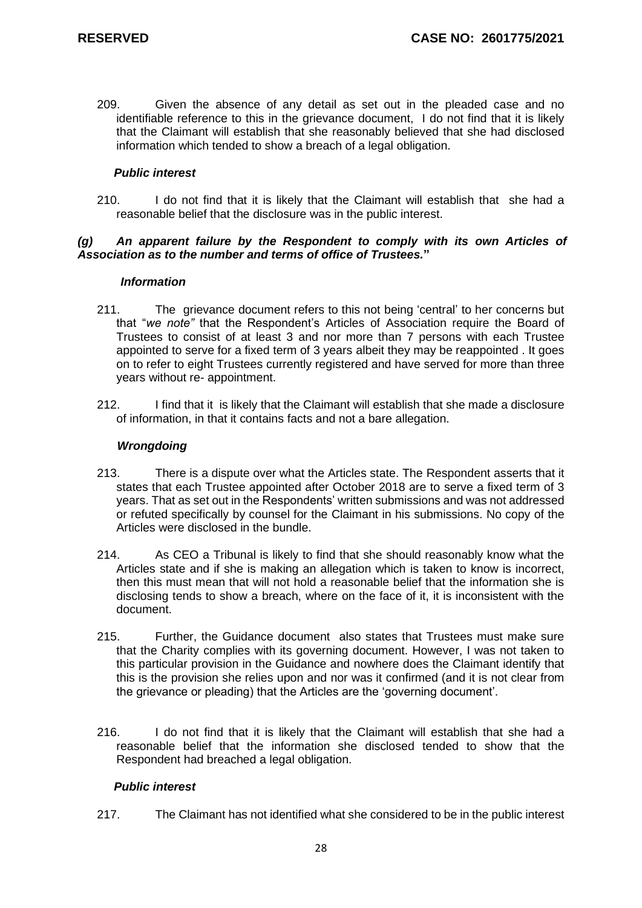209. Given the absence of any detail as set out in the pleaded case and no identifiable reference to this in the grievance document, I do not find that it is likely that the Claimant will establish that she reasonably believed that she had disclosed information which tended to show a breach of a legal obligation.

# *Public interest*

210. I do not find that it is likely that the Claimant will establish that she had a reasonable belief that the disclosure was in the public interest.

# *(g) An apparent failure by the Respondent to comply with its own Articles of Association as to the number and terms of office of Trustees.***"**

#### *Information*

- 211. The grievance document refers to this not being 'central' to her concerns but that "*we note"* that the Respondent's Articles of Association require the Board of Trustees to consist of at least 3 and nor more than 7 persons with each Trustee appointed to serve for a fixed term of 3 years albeit they may be reappointed . It goes on to refer to eight Trustees currently registered and have served for more than three years without re- appointment.
- 212. I find that it is likely that the Claimant will establish that she made a disclosure of information, in that it contains facts and not a bare allegation.

### *Wrongdoing*

- 213. There is a dispute over what the Articles state. The Respondent asserts that it states that each Trustee appointed after October 2018 are to serve a fixed term of 3 years. That as set out in the Respondents' written submissions and was not addressed or refuted specifically by counsel for the Claimant in his submissions. No copy of the Articles were disclosed in the bundle.
- 214. As CEO a Tribunal is likely to find that she should reasonably know what the Articles state and if she is making an allegation which is taken to know is incorrect, then this must mean that will not hold a reasonable belief that the information she is disclosing tends to show a breach, where on the face of it, it is inconsistent with the document.
- 215. Further, the Guidance document also states that Trustees must make sure that the Charity complies with its governing document. However, I was not taken to this particular provision in the Guidance and nowhere does the Claimant identify that this is the provision she relies upon and nor was it confirmed (and it is not clear from the grievance or pleading) that the Articles are the 'governing document'.
- 216. I do not find that it is likely that the Claimant will establish that she had a reasonable belief that the information she disclosed tended to show that the Respondent had breached a legal obligation.

# *Public interest*

217. The Claimant has not identified what she considered to be in the public interest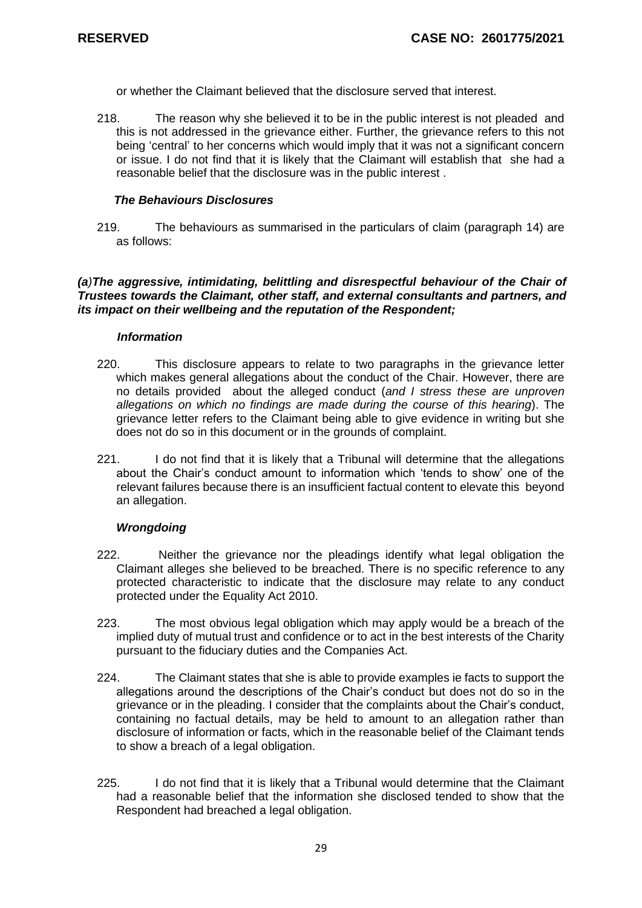or whether the Claimant believed that the disclosure served that interest.

218. The reason why she believed it to be in the public interest is not pleaded and this is not addressed in the grievance either. Further, the grievance refers to this not being 'central' to her concerns which would imply that it was not a significant concern or issue. I do not find that it is likely that the Claimant will establish that she had a reasonable belief that the disclosure was in the public interest .

### *The Behaviours Disclosures*

219. The behaviours as summarised in the particulars of claim (paragraph 14) are as follows:

### *(a)The aggressive, intimidating, belittling and disrespectful behaviour of the Chair of Trustees towards the Claimant, other staff, and external consultants and partners, and its impact on their wellbeing and the reputation of the Respondent;*

### *Information*

- 220. This disclosure appears to relate to two paragraphs in the grievance letter which makes general allegations about the conduct of the Chair. However, there are no details provided about the alleged conduct (*and I stress these are unproven allegations on which no findings are made during the course of this hearing*). The grievance letter refers to the Claimant being able to give evidence in writing but she does not do so in this document or in the grounds of complaint.
- 221. I do not find that it is likely that a Tribunal will determine that the allegations about the Chair's conduct amount to information which 'tends to show' one of the relevant failures because there is an insufficient factual content to elevate this beyond an allegation.

# *Wrongdoing*

- 222. Neither the grievance nor the pleadings identify what legal obligation the Claimant alleges she believed to be breached. There is no specific reference to any protected characteristic to indicate that the disclosure may relate to any conduct protected under the Equality Act 2010.
- 223. The most obvious legal obligation which may apply would be a breach of the implied duty of mutual trust and confidence or to act in the best interests of the Charity pursuant to the fiduciary duties and the Companies Act.
- 224. The Claimant states that she is able to provide examples ie facts to support the allegations around the descriptions of the Chair's conduct but does not do so in the grievance or in the pleading. I consider that the complaints about the Chair's conduct, containing no factual details, may be held to amount to an allegation rather than disclosure of information or facts, which in the reasonable belief of the Claimant tends to show a breach of a legal obligation.
- 225. I do not find that it is likely that a Tribunal would determine that the Claimant had a reasonable belief that the information she disclosed tended to show that the Respondent had breached a legal obligation.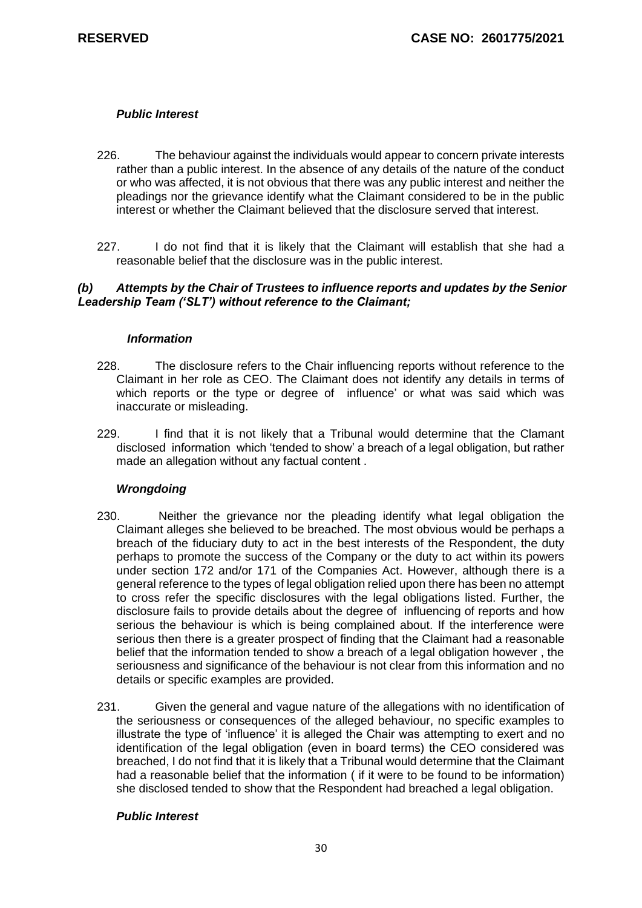# *Public Interest*

- 226. The behaviour against the individuals would appear to concern private interests rather than a public interest. In the absence of any details of the nature of the conduct or who was affected, it is not obvious that there was any public interest and neither the pleadings nor the grievance identify what the Claimant considered to be in the public interest or whether the Claimant believed that the disclosure served that interest.
- 227. I do not find that it is likely that the Claimant will establish that she had a reasonable belief that the disclosure was in the public interest.

# *(b) Attempts by the Chair of Trustees to influence reports and updates by the Senior Leadership Team ('SLT') without reference to the Claimant;*

### *Information*

- 228. The disclosure refers to the Chair influencing reports without reference to the Claimant in her role as CEO. The Claimant does not identify any details in terms of which reports or the type or degree of influence' or what was said which was inaccurate or misleading.
- 229. I find that it is not likely that a Tribunal would determine that the Clamant disclosed information which 'tended to show' a breach of a legal obligation, but rather made an allegation without any factual content .

# *Wrongdoing*

- 230. Neither the grievance nor the pleading identify what legal obligation the Claimant alleges she believed to be breached. The most obvious would be perhaps a breach of the fiduciary duty to act in the best interests of the Respondent, the duty perhaps to promote the success of the Company or the duty to act within its powers under section 172 and/or 171 of the Companies Act. However, although there is a general reference to the types of legal obligation relied upon there has been no attempt to cross refer the specific disclosures with the legal obligations listed. Further, the disclosure fails to provide details about the degree of influencing of reports and how serious the behaviour is which is being complained about. If the interference were serious then there is a greater prospect of finding that the Claimant had a reasonable belief that the information tended to show a breach of a legal obligation however , the seriousness and significance of the behaviour is not clear from this information and no details or specific examples are provided.
- 231. Given the general and vague nature of the allegations with no identification of the seriousness or consequences of the alleged behaviour, no specific examples to illustrate the type of 'influence' it is alleged the Chair was attempting to exert and no identification of the legal obligation (even in board terms) the CEO considered was breached, I do not find that it is likely that a Tribunal would determine that the Claimant had a reasonable belief that the information ( if it were to be found to be information) she disclosed tended to show that the Respondent had breached a legal obligation.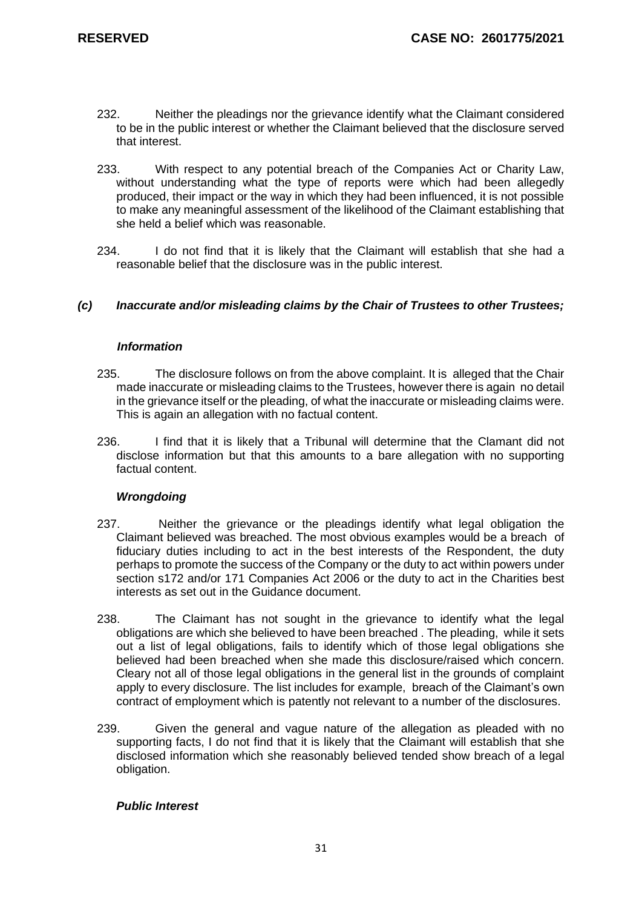- 232. Neither the pleadings nor the grievance identify what the Claimant considered to be in the public interest or whether the Claimant believed that the disclosure served that interest.
- 233. With respect to any potential breach of the Companies Act or Charity Law, without understanding what the type of reports were which had been allegedly produced, their impact or the way in which they had been influenced, it is not possible to make any meaningful assessment of the likelihood of the Claimant establishing that she held a belief which was reasonable.
- 234. I do not find that it is likely that the Claimant will establish that she had a reasonable belief that the disclosure was in the public interest.

# *(c) Inaccurate and/or misleading claims by the Chair of Trustees to other Trustees;*

### *Information*

- 235. The disclosure follows on from the above complaint. It is alleged that the Chair made inaccurate or misleading claims to the Trustees, however there is again no detail in the grievance itself or the pleading, of what the inaccurate or misleading claims were. This is again an allegation with no factual content.
- 236. I find that it is likely that a Tribunal will determine that the Clamant did not disclose information but that this amounts to a bare allegation with no supporting factual content.

# *Wrongdoing*

- 237. Neither the grievance or the pleadings identify what legal obligation the Claimant believed was breached. The most obvious examples would be a breach of fiduciary duties including to act in the best interests of the Respondent, the duty perhaps to promote the success of the Company or the duty to act within powers under section s172 and/or 171 Companies Act 2006 or the duty to act in the Charities best interests as set out in the Guidance document.
- 238. The Claimant has not sought in the grievance to identify what the legal obligations are which she believed to have been breached . The pleading, while it sets out a list of legal obligations, fails to identify which of those legal obligations she believed had been breached when she made this disclosure/raised which concern. Cleary not all of those legal obligations in the general list in the grounds of complaint apply to every disclosure. The list includes for example, breach of the Claimant's own contract of employment which is patently not relevant to a number of the disclosures.
- 239. Given the general and vague nature of the allegation as pleaded with no supporting facts, I do not find that it is likely that the Claimant will establish that she disclosed information which she reasonably believed tended show breach of a legal obligation.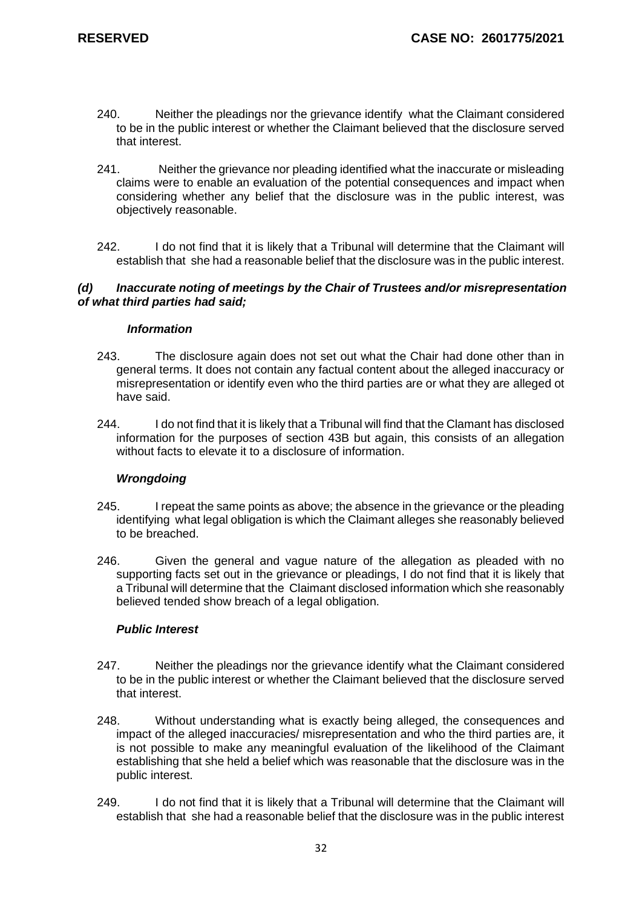- 240. Neither the pleadings nor the grievance identify what the Claimant considered to be in the public interest or whether the Claimant believed that the disclosure served that interest.
- 241. Neither the grievance nor pleading identified what the inaccurate or misleading claims were to enable an evaluation of the potential consequences and impact when considering whether any belief that the disclosure was in the public interest, was objectively reasonable.
- 242. I do not find that it is likely that a Tribunal will determine that the Claimant will establish that she had a reasonable belief that the disclosure was in the public interest.

### *(d) Inaccurate noting of meetings by the Chair of Trustees and/or misrepresentation of what third parties had said;*

# *Information*

- 243. The disclosure again does not set out what the Chair had done other than in general terms. It does not contain any factual content about the alleged inaccuracy or misrepresentation or identify even who the third parties are or what they are alleged ot have said.
- 244. I do not find that it is likely that a Tribunal will find that the Clamant has disclosed information for the purposes of section 43B but again, this consists of an allegation without facts to elevate it to a disclosure of information.

# *Wrongdoing*

- 245. I repeat the same points as above; the absence in the grievance or the pleading identifying what legal obligation is which the Claimant alleges she reasonably believed to be breached.
- 246. Given the general and vague nature of the allegation as pleaded with no supporting facts set out in the grievance or pleadings, I do not find that it is likely that a Tribunal will determine that the Claimant disclosed information which she reasonably believed tended show breach of a legal obligation.

- 247. Neither the pleadings nor the grievance identify what the Claimant considered to be in the public interest or whether the Claimant believed that the disclosure served that interest.
- 248. Without understanding what is exactly being alleged, the consequences and impact of the alleged inaccuracies/ misrepresentation and who the third parties are, it is not possible to make any meaningful evaluation of the likelihood of the Claimant establishing that she held a belief which was reasonable that the disclosure was in the public interest.
- 249. I do not find that it is likely that a Tribunal will determine that the Claimant will establish that she had a reasonable belief that the disclosure was in the public interest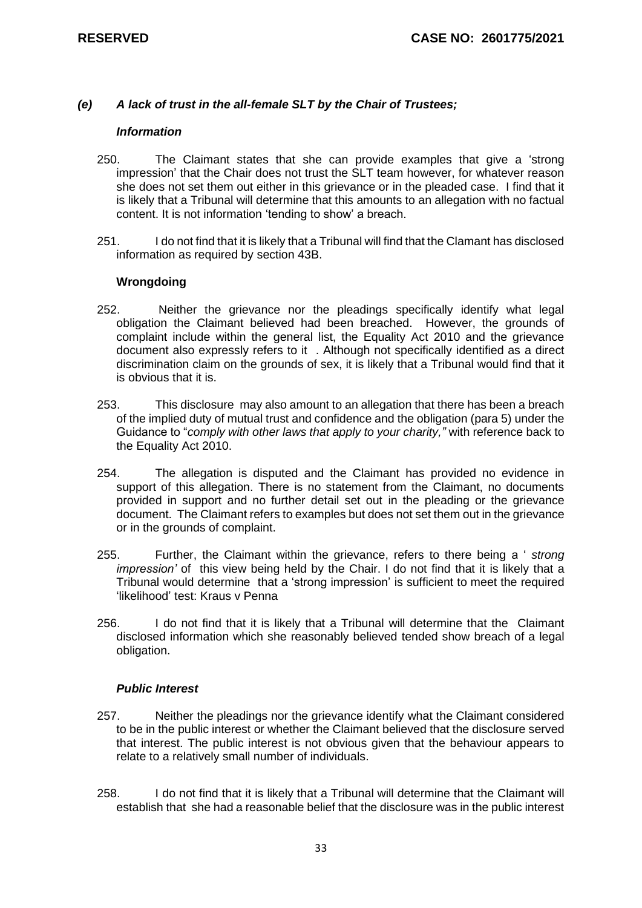#### *(e) A lack of trust in the all-female SLT by the Chair of Trustees;*

#### *Information*

- 250. The Claimant states that she can provide examples that give a 'strong impression' that the Chair does not trust the SLT team however, for whatever reason she does not set them out either in this grievance or in the pleaded case. I find that it is likely that a Tribunal will determine that this amounts to an allegation with no factual content. It is not information 'tending to show' a breach.
- 251. I do not find that it is likely that a Tribunal will find that the Clamant has disclosed information as required by section 43B.

### **Wrongdoing**

- 252. Neither the grievance nor the pleadings specifically identify what legal obligation the Claimant believed had been breached. However, the grounds of complaint include within the general list, the Equality Act 2010 and the grievance document also expressly refers to it . Although not specifically identified as a direct discrimination claim on the grounds of sex, it is likely that a Tribunal would find that it is obvious that it is.
- 253. This disclosure may also amount to an allegation that there has been a breach of the implied duty of mutual trust and confidence and the obligation (para 5) under the Guidance to "*comply with other laws that apply to your charity,"* with reference back to the Equality Act 2010.
- 254. The allegation is disputed and the Claimant has provided no evidence in support of this allegation. There is no statement from the Claimant, no documents provided in support and no further detail set out in the pleading or the grievance document. The Claimant refers to examples but does not set them out in the grievance or in the grounds of complaint.
- 255. Further, the Claimant within the grievance, refers to there being a ' *strong impression'* of this view being held by the Chair. I do not find that it is likely that a Tribunal would determine that a 'strong impression' is sufficient to meet the required 'likelihood' test: Kraus v Penna
- 256. I do not find that it is likely that a Tribunal will determine that the Claimant disclosed information which she reasonably believed tended show breach of a legal obligation.

- 257. Neither the pleadings nor the grievance identify what the Claimant considered to be in the public interest or whether the Claimant believed that the disclosure served that interest. The public interest is not obvious given that the behaviour appears to relate to a relatively small number of individuals.
- 258. I do not find that it is likely that a Tribunal will determine that the Claimant will establish that she had a reasonable belief that the disclosure was in the public interest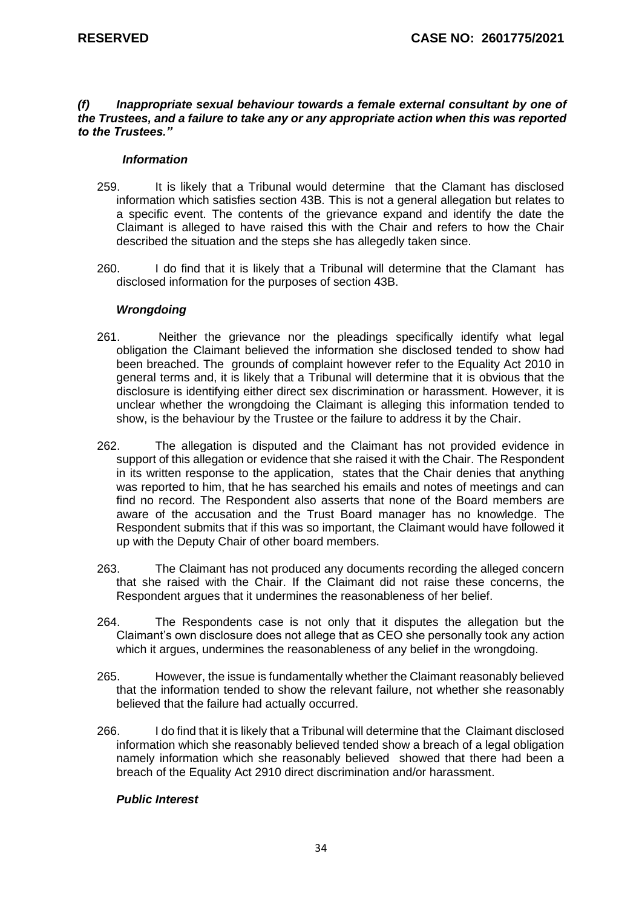#### *(f) Inappropriate sexual behaviour towards a female external consultant by one of the Trustees, and a failure to take any or any appropriate action when this was reported to the Trustees."*

#### *Information*

- 259. It is likely that a Tribunal would determine that the Clamant has disclosed information which satisfies section 43B. This is not a general allegation but relates to a specific event. The contents of the grievance expand and identify the date the Claimant is alleged to have raised this with the Chair and refers to how the Chair described the situation and the steps she has allegedly taken since.
- 260. I do find that it is likely that a Tribunal will determine that the Clamant has disclosed information for the purposes of section 43B.

#### *Wrongdoing*

- 261. Neither the grievance nor the pleadings specifically identify what legal obligation the Claimant believed the information she disclosed tended to show had been breached. The grounds of complaint however refer to the Equality Act 2010 in general terms and, it is likely that a Tribunal will determine that it is obvious that the disclosure is identifying either direct sex discrimination or harassment. However, it is unclear whether the wrongdoing the Claimant is alleging this information tended to show, is the behaviour by the Trustee or the failure to address it by the Chair.
- 262. The allegation is disputed and the Claimant has not provided evidence in support of this allegation or evidence that she raised it with the Chair. The Respondent in its written response to the application, states that the Chair denies that anything was reported to him, that he has searched his emails and notes of meetings and can find no record. The Respondent also asserts that none of the Board members are aware of the accusation and the Trust Board manager has no knowledge. The Respondent submits that if this was so important, the Claimant would have followed it up with the Deputy Chair of other board members.
- 263. The Claimant has not produced any documents recording the alleged concern that she raised with the Chair. If the Claimant did not raise these concerns, the Respondent argues that it undermines the reasonableness of her belief.
- 264. The Respondents case is not only that it disputes the allegation but the Claimant's own disclosure does not allege that as CEO she personally took any action which it argues, undermines the reasonableness of any belief in the wrongdoing.
- 265. However, the issue is fundamentally whether the Claimant reasonably believed that the information tended to show the relevant failure, not whether she reasonably believed that the failure had actually occurred.
- 266. I do find that it is likely that a Tribunal will determine that the Claimant disclosed information which she reasonably believed tended show a breach of a legal obligation namely information which she reasonably believed showed that there had been a breach of the Equality Act 2910 direct discrimination and/or harassment.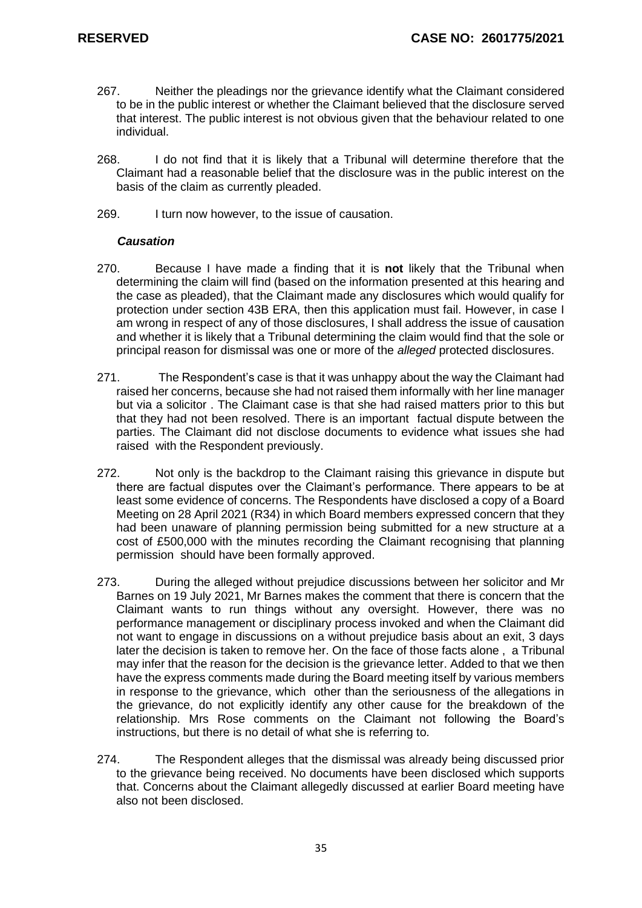- 267. Neither the pleadings nor the grievance identify what the Claimant considered to be in the public interest or whether the Claimant believed that the disclosure served that interest. The public interest is not obvious given that the behaviour related to one individual.
- 268. I do not find that it is likely that a Tribunal will determine therefore that the Claimant had a reasonable belief that the disclosure was in the public interest on the basis of the claim as currently pleaded.
- 269. I turn now however, to the issue of causation.

### *Causation*

- 270. Because I have made a finding that it is **not** likely that the Tribunal when determining the claim will find (based on the information presented at this hearing and the case as pleaded), that the Claimant made any disclosures which would qualify for protection under section 43B ERA, then this application must fail. However, in case I am wrong in respect of any of those disclosures, I shall address the issue of causation and whether it is likely that a Tribunal determining the claim would find that the sole or principal reason for dismissal was one or more of the *alleged* protected disclosures.
- 271. The Respondent's case is that it was unhappy about the way the Claimant had raised her concerns, because she had not raised them informally with her line manager but via a solicitor . The Claimant case is that she had raised matters prior to this but that they had not been resolved. There is an important factual dispute between the parties. The Claimant did not disclose documents to evidence what issues she had raised with the Respondent previously.
- 272. Not only is the backdrop to the Claimant raising this grievance in dispute but there are factual disputes over the Claimant's performance. There appears to be at least some evidence of concerns. The Respondents have disclosed a copy of a Board Meeting on 28 April 2021 (R34) in which Board members expressed concern that they had been unaware of planning permission being submitted for a new structure at a cost of £500,000 with the minutes recording the Claimant recognising that planning permission should have been formally approved.
- 273. During the alleged without prejudice discussions between her solicitor and Mr Barnes on 19 July 2021, Mr Barnes makes the comment that there is concern that the Claimant wants to run things without any oversight. However, there was no performance management or disciplinary process invoked and when the Claimant did not want to engage in discussions on a without prejudice basis about an exit, 3 days later the decision is taken to remove her. On the face of those facts alone , a Tribunal may infer that the reason for the decision is the grievance letter. Added to that we then have the express comments made during the Board meeting itself by various members in response to the grievance, which other than the seriousness of the allegations in the grievance, do not explicitly identify any other cause for the breakdown of the relationship. Mrs Rose comments on the Claimant not following the Board's instructions, but there is no detail of what she is referring to.
- 274. The Respondent alleges that the dismissal was already being discussed prior to the grievance being received. No documents have been disclosed which supports that. Concerns about the Claimant allegedly discussed at earlier Board meeting have also not been disclosed.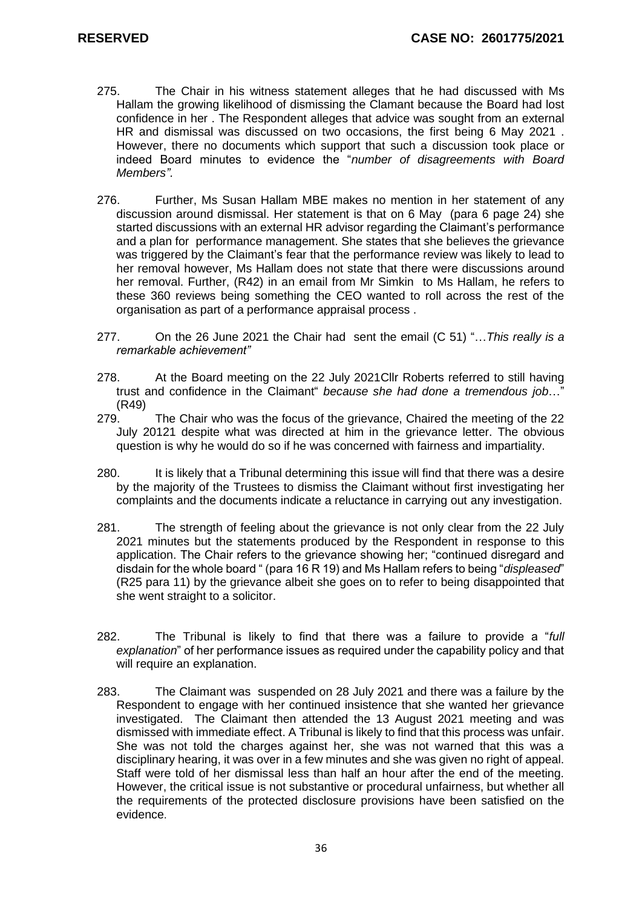- 275. The Chair in his witness statement alleges that he had discussed with Ms Hallam the growing likelihood of dismissing the Clamant because the Board had lost confidence in her . The Respondent alleges that advice was sought from an external HR and dismissal was discussed on two occasions, the first being 6 May 2021 . However, there no documents which support that such a discussion took place or indeed Board minutes to evidence the "*number of disagreements with Board Members".*
- 276. Further, Ms Susan Hallam MBE makes no mention in her statement of any discussion around dismissal. Her statement is that on 6 May (para 6 page 24) she started discussions with an external HR advisor regarding the Claimant's performance and a plan for performance management. She states that she believes the grievance was triggered by the Claimant's fear that the performance review was likely to lead to her removal however, Ms Hallam does not state that there were discussions around her removal. Further, (R42) in an email from Mr Simkin to Ms Hallam, he refers to these 360 reviews being something the CEO wanted to roll across the rest of the organisation as part of a performance appraisal process .
- 277. On the 26 June 2021 the Chair had sent the email (C 51) "…*This really is a remarkable achievement"*
- 278. At the Board meeting on the 22 July 2021Cllr Roberts referred to still having trust and confidence in the Claimant" *because she had done a tremendous job*…" (R49)
- 279. The Chair who was the focus of the grievance, Chaired the meeting of the 22 July 20121 despite what was directed at him in the grievance letter. The obvious question is why he would do so if he was concerned with fairness and impartiality.
- 280. It is likely that a Tribunal determining this issue will find that there was a desire by the majority of the Trustees to dismiss the Claimant without first investigating her complaints and the documents indicate a reluctance in carrying out any investigation.
- 281. The strength of feeling about the grievance is not only clear from the 22 July 2021 minutes but the statements produced by the Respondent in response to this application. The Chair refers to the grievance showing her; "continued disregard and disdain for the whole board " (para 16 R 19) and Ms Hallam refers to being "*displeased*" (R25 para 11) by the grievance albeit she goes on to refer to being disappointed that she went straight to a solicitor.
- 282. The Tribunal is likely to find that there was a failure to provide a "*full explanation*" of her performance issues as required under the capability policy and that will require an explanation.
- 283. The Claimant was suspended on 28 July 2021 and there was a failure by the Respondent to engage with her continued insistence that she wanted her grievance investigated. The Claimant then attended the 13 August 2021 meeting and was dismissed with immediate effect. A Tribunal is likely to find that this process was unfair. She was not told the charges against her, she was not warned that this was a disciplinary hearing, it was over in a few minutes and she was given no right of appeal. Staff were told of her dismissal less than half an hour after the end of the meeting. However, the critical issue is not substantive or procedural unfairness, but whether all the requirements of the protected disclosure provisions have been satisfied on the evidence.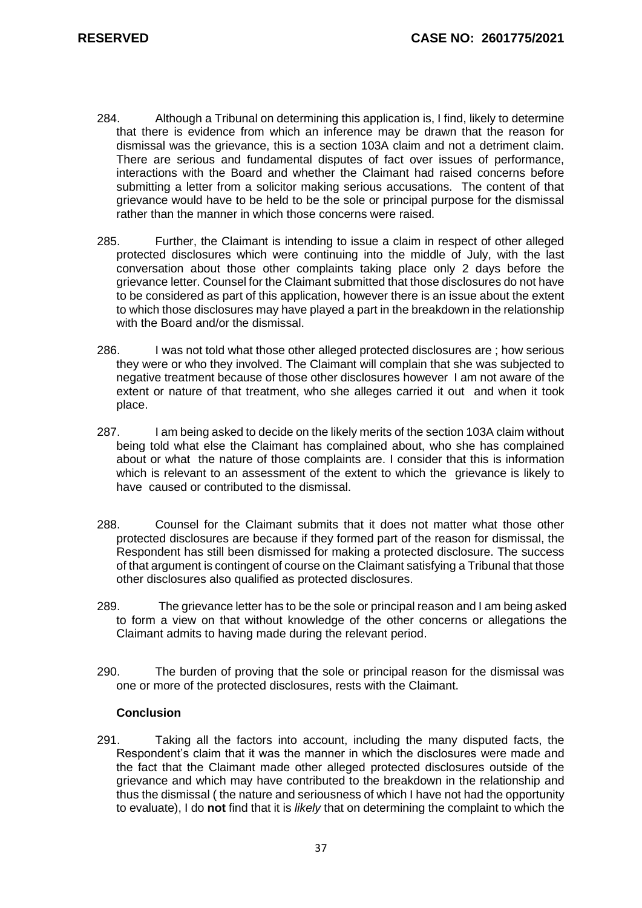- 284. Although a Tribunal on determining this application is, I find, likely to determine that there is evidence from which an inference may be drawn that the reason for dismissal was the grievance, this is a section 103A claim and not a detriment claim. There are serious and fundamental disputes of fact over issues of performance, interactions with the Board and whether the Claimant had raised concerns before submitting a letter from a solicitor making serious accusations. The content of that grievance would have to be held to be the sole or principal purpose for the dismissal rather than the manner in which those concerns were raised.
- 285. Further, the Claimant is intending to issue a claim in respect of other alleged protected disclosures which were continuing into the middle of July, with the last conversation about those other complaints taking place only 2 days before the grievance letter. Counsel for the Claimant submitted that those disclosures do not have to be considered as part of this application, however there is an issue about the extent to which those disclosures may have played a part in the breakdown in the relationship with the Board and/or the dismissal.
- 286. I was not told what those other alleged protected disclosures are ; how serious they were or who they involved. The Claimant will complain that she was subjected to negative treatment because of those other disclosures however I am not aware of the extent or nature of that treatment, who she alleges carried it out and when it took place.
- 287. I am being asked to decide on the likely merits of the section 103A claim without being told what else the Claimant has complained about, who she has complained about or what the nature of those complaints are. I consider that this is information which is relevant to an assessment of the extent to which the grievance is likely to have caused or contributed to the dismissal.
- 288. Counsel for the Claimant submits that it does not matter what those other protected disclosures are because if they formed part of the reason for dismissal, the Respondent has still been dismissed for making a protected disclosure. The success of that argument is contingent of course on the Claimant satisfying a Tribunal that those other disclosures also qualified as protected disclosures.
- 289. The grievance letter has to be the sole or principal reason and I am being asked to form a view on that without knowledge of the other concerns or allegations the Claimant admits to having made during the relevant period.
- 290. The burden of proving that the sole or principal reason for the dismissal was one or more of the protected disclosures, rests with the Claimant.

# **Conclusion**

291. Taking all the factors into account, including the many disputed facts, the Respondent's claim that it was the manner in which the disclosures were made and the fact that the Claimant made other alleged protected disclosures outside of the grievance and which may have contributed to the breakdown in the relationship and thus the dismissal ( the nature and seriousness of which I have not had the opportunity to evaluate), I do **not** find that it is *likely* that on determining the complaint to which the